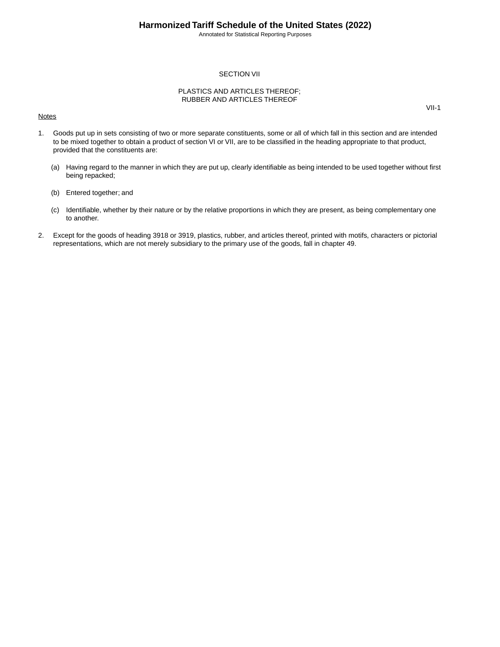VII-1

#### SECTION VII

#### PLASTICS AND ARTICLES THEREOF; RUBBER AND ARTICLES THEREOF

#### **Notes**

1. Goods put up in sets consisting of two or more separate constituents, some or all of which fall in this section and are intended to be mixed together to obtain a product of section VI or VII, are to be classified in the heading appropriate to that product, provided that the constituents are:

- (a) Having regard to the manner in which they are put up, clearly identifiable as being intended to be used together without first being repacked;
- (b) Entered together; and
- (c) Identifiable, whether by their nature or by the relative proportions in which they are present, as being complementary one to another.
- 2. Except for the goods of heading 3918 or 3919, plastics, rubber, and articles thereof, printed with motifs, characters or pictorial representations, which are not merely subsidiary to the primary use of the goods, fall in chapter 49.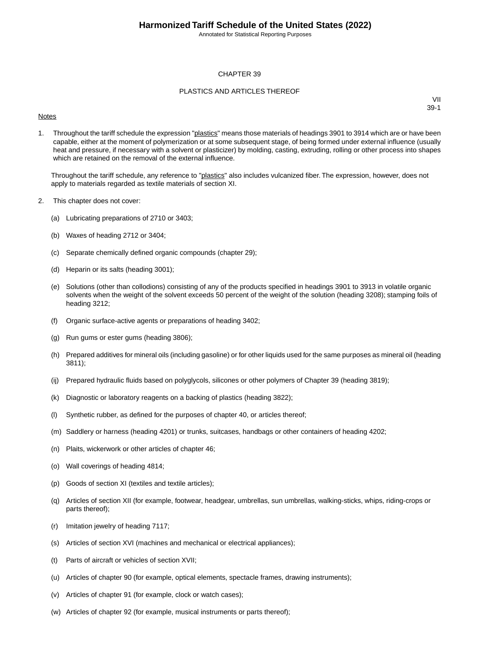#### CHAPTER 39

#### PLASTICS AND ARTICLES THEREOF

#### **Notes**

VII 39-1

1. Throughout the tariff schedule the expression "plastics" means those materials of headings 3901 to 3914 which are or have been capable, either at the moment of polymerization or at some subsequent stage, of being formed under external influence (usually heat and pressure, if necessary with a solvent or plasticizer) by molding, casting, extruding, rolling or other process into shapes which are retained on the removal of the external influence.

Throughout the tariff schedule, any reference to "plastics" also includes vulcanized fiber. The expression, however, does not apply to materials regarded as textile materials of section XI.

- 2. This chapter does not cover:
	- (a) Lubricating preparations of 2710 or 3403;
	- (b) Waxes of heading 2712 or 3404;
	- (c) Separate chemically defined organic compounds (chapter 29);
	- (d) Heparin or its salts (heading 3001);
	- (e) Solutions (other than collodions) consisting of any of the products specified in headings 3901 to 3913 in volatile organic solvents when the weight of the solvent exceeds 50 percent of the weight of the solution (heading 3208); stamping foils of heading 3212;
	- (f) Organic surface-active agents or preparations of heading 3402;
	- (g) Run gums or ester gums (heading 3806);
	- (h) Prepared additives for mineral oils (including gasoline) or for other liquids used for the same purposes as mineral oil (heading 3811);
	- (ij) Prepared hydraulic fluids based on polyglycols, silicones or other polymers of Chapter 39 (heading 3819);
	- (k) Diagnostic or laboratory reagents on a backing of plastics (heading 3822);
	- (l) Synthetic rubber, as defined for the purposes of chapter 40, or articles thereof;
	- (m) Saddlery or harness (heading 4201) or trunks, suitcases, handbags or other containers of heading 4202;
	- (n) Plaits, wickerwork or other articles of chapter 46;
	- (o) Wall coverings of heading 4814;
	- (p) Goods of section XI (textiles and textile articles);
	- (q) Articles of section XII (for example, footwear, headgear, umbrellas, sun umbrellas, walking-sticks, whips, riding-crops or parts thereof);
	- (r) Imitation jewelry of heading 7117;
	- (s) Articles of section XVI (machines and mechanical or electrical appliances);
	- (t) Parts of aircraft or vehicles of section XVII;
	- (u) Articles of chapter 90 (for example, optical elements, spectacle frames, drawing instruments);
	- (v) Articles of chapter 91 (for example, clock or watch cases);
	- (w) Articles of chapter 92 (for example, musical instruments or parts thereof);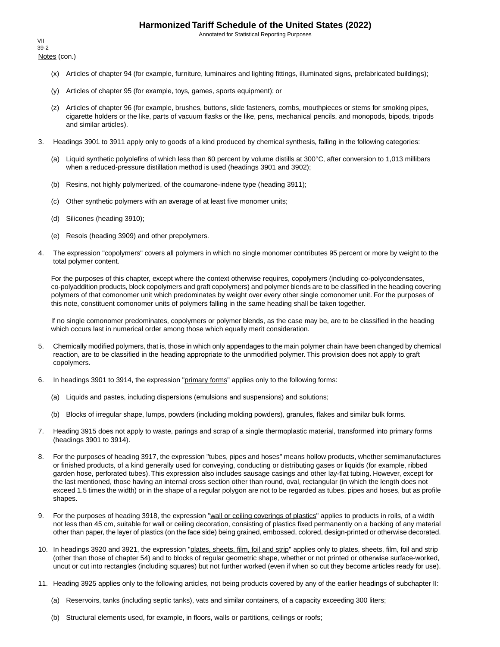Annotated for Statistical Reporting Purposes

Notes (con.) VII 39-2

- (x) Articles of chapter 94 (for example, furniture, luminaires and lighting fittings, illuminated signs, prefabricated buildings);
- (y) Articles of chapter 95 (for example, toys, games, sports equipment); or
- (z) Articles of chapter 96 (for example, brushes, buttons, slide fasteners, combs, mouthpieces or stems for smoking pipes, cigarette holders or the like, parts of vacuum flasks or the like, pens, mechanical pencils, and monopods, bipods, tripods and similar articles).
- 3. Headings 3901 to 3911 apply only to goods of a kind produced by chemical synthesis, falling in the following categories:
	- (a) Liquid synthetic polyolefins of which less than 60 percent by volume distills at 300°C, after conversion to 1,013 millibars when a reduced-pressure distillation method is used (headings 3901 and 3902);
	- (b) Resins, not highly polymerized, of the coumarone-indene type (heading 3911);
	- (c) Other synthetic polymers with an average of at least five monomer units;
	- (d) Silicones (heading 3910);
	- (e) Resols (heading 3909) and other prepolymers.
- 4. The expression "copolymers" covers all polymers in which no single monomer contributes 95 percent or more by weight to the total polymer content.

For the purposes of this chapter, except where the context otherwise requires, copolymers (including co-polycondensates, co-polyaddition products, block copolymers and graft copolymers) and polymer blends are to be classified in the heading covering polymers of that comonomer unit which predominates by weight over every other single comonomer unit. For the purposes of this note, constituent comonomer units of polymers falling in the same heading shall be taken together.

If no single comonomer predominates, copolymers or polymer blends, as the case may be, are to be classified in the heading which occurs last in numerical order among those which equally merit consideration.

- 5. Chemically modified polymers, that is, those in which only appendages to the main polymer chain have been changed by chemical reaction, are to be classified in the heading appropriate to the unmodified polymer. This provision does not apply to graft copolymers.
- 6. In headings 3901 to 3914, the expression "primary forms" applies only to the following forms:
	- (a) Liquids and pastes, including dispersions (emulsions and suspensions) and solutions;
	- (b) Blocks of irregular shape, lumps, powders (including molding powders), granules, flakes and similar bulk forms.
- 7. Heading 3915 does not apply to waste, parings and scrap of a single thermoplastic material, transformed into primary forms (headings 3901 to 3914).
- 8. For the purposes of heading 3917, the expression "tubes, pipes and hoses" means hollow products, whether semimanufactures or finished products, of a kind generally used for conveying, conducting or distributing gases or liquids (for example, ribbed garden hose, perforated tubes). This expression also includes sausage casings and other lay-flat tubing. However, except for the last mentioned, those having an internal cross section other than round, oval, rectangular (in which the length does not exceed 1.5 times the width) or in the shape of a regular polygon are not to be regarded as tubes, pipes and hoses, but as profile shapes.
- 9. For the purposes of heading 3918, the expression "wall or ceiling coverings of plastics" applies to products in rolls, of a width not less than 45 cm, suitable for wall or ceiling decoration, consisting of plastics fixed permanently on a backing of any material other than paper, the layer of plastics (on the face side) being grained, embossed, colored, design-printed or otherwise decorated.
- 10. In headings 3920 and 3921, the expression "plates, sheets, film, foil and strip" applies only to plates, sheets, film, foil and strip (other than those of chapter 54) and to blocks of regular geometric shape, whether or not printed or otherwise surface-worked, uncut or cut into rectangles (including squares) but not further worked (even if when so cut they become articles ready for use).
- 11. Heading 3925 applies only to the following articles, not being products covered by any of the earlier headings of subchapter II:
	- (a) Reservoirs, tanks (including septic tanks), vats and similar containers, of a capacity exceeding 300 liters;
	- (b) Structural elements used, for example, in floors, walls or partitions, ceilings or roofs;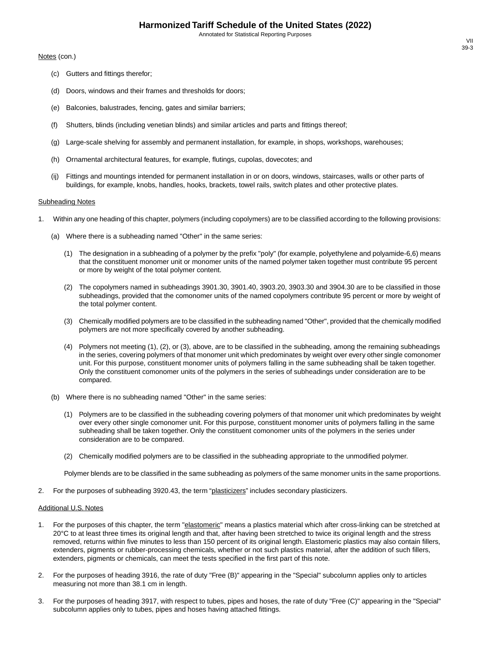#### Notes (con.)

- (c) Gutters and fittings therefor;
- (d) Doors, windows and their frames and thresholds for doors;
- (e) Balconies, balustrades, fencing, gates and similar barriers;
- (f) Shutters, blinds (including venetian blinds) and similar articles and parts and fittings thereof;
- (g) Large-scale shelving for assembly and permanent installation, for example, in shops, workshops, warehouses;
- (h) Ornamental architectural features, for example, flutings, cupolas, dovecotes; and
- (ij) Fittings and mountings intended for permanent installation in or on doors, windows, staircases, walls or other parts of buildings, for example, knobs, handles, hooks, brackets, towel rails, switch plates and other protective plates.

#### Subheading Notes

- 1. Within any one heading of this chapter, polymers (including copolymers) are to be classified according to the following provisions:
	- (a) Where there is a subheading named "Other" in the same series:
		- (1) The designation in a subheading of a polymer by the prefix "poly" (for example, polyethylene and polyamide-6,6) means that the constituent monomer unit or monomer units of the named polymer taken together must contribute 95 percent or more by weight of the total polymer content.
		- (2) The copolymers named in subheadings 3901.30, 3901.40, 3903.20, 3903.30 and 3904.30 are to be classified in those subheadings, provided that the comonomer units of the named copolymers contribute 95 percent or more by weight of the total polymer content.
		- (3) Chemically modified polymers are to be classified in the subheading named "Other", provided that the chemically modified polymers are not more specifically covered by another subheading.
		- (4) Polymers not meeting (1), (2), or (3), above, are to be classified in the subheading, among the remaining subheadings in the series, covering polymers of that monomer unit which predominates by weight over every other single comonomer unit. For this purpose, constituent monomer units of polymers falling in the same subheading shall be taken together. Only the constituent comonomer units of the polymers in the series of subheadings under consideration are to be compared.
	- (b) Where there is no subheading named "Other" in the same series:
		- (1) Polymers are to be classified in the subheading covering polymers of that monomer unit which predominates by weight over every other single comonomer unit. For this purpose, constituent monomer units of polymers falling in the same subheading shall be taken together. Only the constituent comonomer units of the polymers in the series under consideration are to be compared.
		- (2) Chemically modified polymers are to be classified in the subheading appropriate to the unmodified polymer.

Polymer blends are to be classified in the same subheading as polymers of the same monomer units in the same proportions.

2. For the purposes of subheading 3920.43, the term "plasticizers" includes secondary plasticizers.

#### Additional U.S. Notes

- 1. For the purposes of this chapter, the term "elastomeric" means a plastics material which after cross-linking can be stretched at 20°C to at least three times its original length and that, after having been stretched to twice its original length and the stress removed, returns within five minutes to less than 150 percent of its original length. Elastomeric plastics may also contain fillers, extenders, pigments or rubber-processing chemicals, whether or not such plastics material, after the addition of such fillers, extenders, pigments or chemicals, can meet the tests specified in the first part of this note.
- 2. For the purposes of heading 3916, the rate of duty "Free (B)" appearing in the "Special" subcolumn applies only to articles measuring not more than 38.1 cm in length.
- 3. For the purposes of heading 3917, with respect to tubes, pipes and hoses, the rate of duty "Free (C)" appearing in the "Special" subcolumn applies only to tubes, pipes and hoses having attached fittings.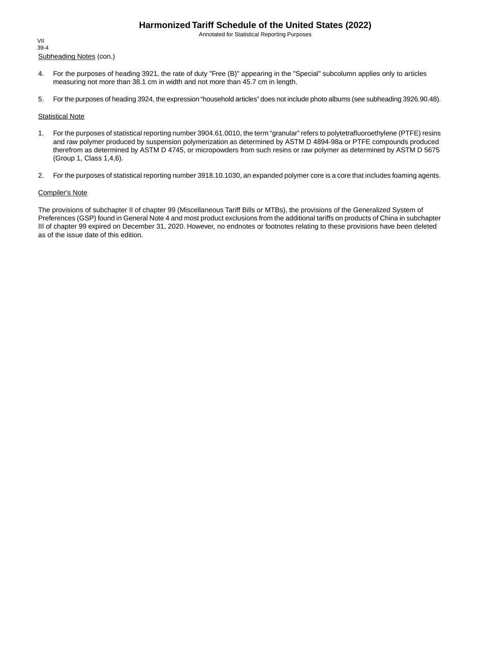Annotated for Statistical Reporting Purposes

Subheading Notes (con.) VII 39-4

- 4. For the purposes of heading 3921, the rate of duty "Free (B)" appearing in the "Special" subcolumn applies only to articles measuring not more than 38.1 cm in width and not more than 45.7 cm in length.
- 5. For the purposes of heading 3924, the expression "household articles" does not include photo albums (see subheading 3926.90.48).

#### **Statistical Note**

- 1. For the purposes of statistical reporting number 3904.61.0010, the term "granular" refers to polytetrafluoroethylene (PTFE) resins and raw polymer produced by suspension polymerization as determined by ASTM D 4894-98a or PTFE compounds produced therefrom as determined by ASTM D 4745, or micropowders from such resins or raw polymer as determined by ASTM D 5675 (Group 1, Class 1,4,6).
- 2. For the purposes of statistical reporting number 3918.10.1030, an expanded polymer core is a core that includes foaming agents.

#### Compiler's Note

The provisions of subchapter II of chapter 99 (Miscellaneous Tariff Bills or MTBs), the provisions of the Generalized System of Preferences (GSP) found in General Note 4 and most product exclusions from the additional tariffs on products of China in subchapter III of chapter 99 expired on December 31, 2020. However, no endnotes or footnotes relating to these provisions have been deleted as of the issue date of this edition.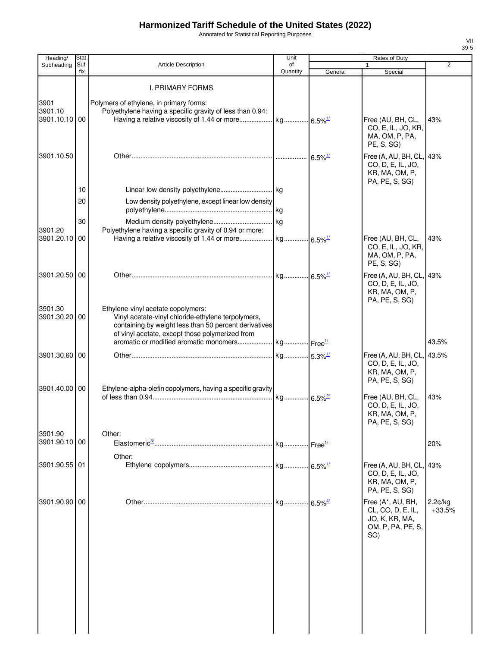Annotated for Statistical Reporting Purposes

| Heading/                         | Stat.       |                                                                                                                                                                                                      | Unit                  |         | Rates of Duty                                                                        |                        |
|----------------------------------|-------------|------------------------------------------------------------------------------------------------------------------------------------------------------------------------------------------------------|-----------------------|---------|--------------------------------------------------------------------------------------|------------------------|
| Subheading                       | Suf-<br>fix | <b>Article Description</b>                                                                                                                                                                           | οf<br>Quantity        | General | 1<br>Special                                                                         | 2                      |
|                                  |             | <b>I. PRIMARY FORMS</b>                                                                                                                                                                              |                       |         |                                                                                      |                        |
| 3901<br>3901.10<br>3901.10.10 00 |             | Polymers of ethylene, in primary forms:<br>Polyethylene having a specific gravity of less than 0.94:                                                                                                 |                       |         | Free (AU, BH, CL,<br>CO, E, IL, JO, KR,<br>MA, OM, P, PA,<br>PE, S, SG)              | 43%                    |
| 3901.10.50                       |             |                                                                                                                                                                                                      |                       |         | Free (A, AU, BH, CL, 43%<br>CO, D, E, IL, JO,<br>KR, MA, OM, P,<br>PA, PE, S, SG)    |                        |
|                                  | 10          |                                                                                                                                                                                                      |                       |         |                                                                                      |                        |
|                                  | 20          | Low density polyethylene, except linear low density                                                                                                                                                  |                       |         |                                                                                      |                        |
|                                  | 30          |                                                                                                                                                                                                      |                       |         |                                                                                      |                        |
| 3901.20                          |             | Polyethylene having a specific gravity of 0.94 or more:                                                                                                                                              |                       |         |                                                                                      |                        |
| 3901.20.10 00                    |             |                                                                                                                                                                                                      |                       |         | Free (AU, BH, CL,<br>CO, E, IL, JO, KR,<br>MA, OM, P, PA,<br>PE, S, SG)              | 43%                    |
| 3901.20.50 00                    |             |                                                                                                                                                                                                      |                       |         | Free (A, AU, BH, CL, 43%<br>CO, D, E, IL, JO,<br>KR, MA, OM, P,<br>PA, PE, S, SG)    |                        |
| 3901.30<br>3901.30.20 00         |             | Ethylene-vinyl acetate copolymers:<br>Vinyl acetate-vinyl chloride-ethylene terpolymers,<br>containing by weight less than 50 percent derivatives<br>of vinyl acetate, except those polymerized from |                       |         |                                                                                      |                        |
|                                  |             |                                                                                                                                                                                                      |                       |         |                                                                                      | 43.5%                  |
| 3901.30.60 00<br>3901.40.00 00   |             | Ethylene-alpha-olefin copolymers, having a specific gravity                                                                                                                                          |                       |         | Free (A, AU, BH, CL, 43.5%<br>CO, D, E, IL, JO,<br>KR, MA, OM, P,<br>PA, PE, S, SG)  |                        |
|                                  |             |                                                                                                                                                                                                      | kg 6.5% <sup>2/</sup> |         | Free (AU, BH, CL,<br>CO, D, E, IL, JO,<br>KR, MA, OM, P,<br>PA, PE, S, SG)           | 43%                    |
| 3901.90                          |             | Other:                                                                                                                                                                                               |                       |         |                                                                                      |                        |
| 3901.90.10 00                    |             | Other:                                                                                                                                                                                               |                       |         |                                                                                      | 20%                    |
| 3901.90.55 01                    |             |                                                                                                                                                                                                      |                       |         | Free (A, AU, BH, CL, 43%<br>CO, D, E, IL, JO,<br>KR, MA, OM, P,<br>PA, PE, S, SG)    |                        |
| 3901.90.90 00                    |             |                                                                                                                                                                                                      |                       |         | Free (A*, AU, BH,<br>CL, CO, D, E, IL,<br>JO, K, KR, MA,<br>OM, P, PA, PE, S,<br>SG) | $2.2$ ¢/kg<br>$+33.5%$ |
|                                  |             |                                                                                                                                                                                                      |                       |         |                                                                                      |                        |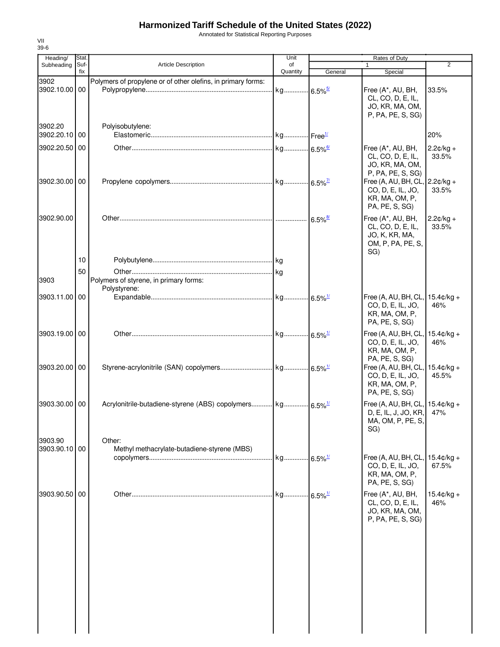Annotated for Statistical Reporting Purposes

| Heading/                 | Stat.       |                                                              | Unit           | Rates of Duty         |                                                                                          |                               |
|--------------------------|-------------|--------------------------------------------------------------|----------------|-----------------------|------------------------------------------------------------------------------------------|-------------------------------|
| Subheading               | Suf-<br>fix | <b>Article Description</b>                                   | of<br>Quantity | General               | $\mathbf{1}$<br>Special                                                                  | $\overline{2}$                |
| 3902<br>3902.10.00 00    |             | Polymers of propylene or of other olefins, in primary forms: |                |                       | Free (A*, AU, BH,<br>CL, CO, D, E, IL,<br>JO, KR, MA, OM,<br>P, PA, PE, S, SG)           | 33.5%                         |
| 3902.20<br>3902.20.10 00 |             | Polyisobutylene:                                             |                |                       |                                                                                          | 20%                           |
| 3902.20.50 00            |             |                                                              |                |                       | Free (A*, AU, BH,<br>CL, CO, D, E, IL,<br>JO, KR, MA, OM,<br>P, PA, PE, S, SG)           | $2.2¢/kg +$<br>33.5%          |
| 3902.30.00 00            |             |                                                              |                |                       | Free (A, AU, BH, CL,<br>CO, D, E, IL, JO,<br>KR, MA, OM, P,<br>PA, PE, S, SG)            | $2.2¢/kg +$<br>33.5%          |
| 3902.90.00               |             |                                                              |                | $6.5\%$ <sup>8/</sup> | Free (A*, AU, BH,<br>CL, CO, D, E, IL,<br>JO, K, KR, MA,<br>OM, P, PA, PE, S,<br>SG)     | $2.2¢/kg +$<br>33.5%          |
|                          | 10          |                                                              |                |                       |                                                                                          |                               |
|                          | 50          |                                                              |                |                       |                                                                                          |                               |
| 3903                     |             | Polymers of styrene, in primary forms:<br>Polystyrene:       |                |                       |                                                                                          |                               |
| 3903.11.00 00            |             |                                                              |                |                       | Free (A, AU, BH, CL, 15.4¢/kg +<br>CO, D, E, IL, JO,<br>KR, MA, OM, P,<br>PA, PE, S, SG) | 46%                           |
| 3903.19.00 00            |             |                                                              |                |                       | Free (A, AU, BH, CL,<br>CO, D, E, IL, JO,<br>KR, MA, OM, P,<br>PA, PE, S, SG)            | $15.4 \text{C/kg} +$<br>46%   |
| 3903.20.00 00            |             |                                                              |                |                       | Free (A, AU, BH, CL,<br>CO, D, E, IL, JO,<br>KR, MA, OM, P,<br>PA, PE, S, SG)            | $15.4 \text{c/kg} +$<br>45.5% |
| 3903.30.00 00            |             |                                                              |                |                       | Free (A, AU, BH, CL, 15.4¢/kg +<br>D, E, IL, J, JO, KR,<br>MA, OM, P, PE, S.<br>SG)      | 47%                           |
| 3903.90<br>3903.90.10 00 |             | Other:<br>Methyl methacrylate-butadiene-styrene (MBS)        |                |                       |                                                                                          |                               |
|                          |             |                                                              |                |                       | Free (A, AU, BH, CL,<br>CO, D, E, IL, JO,<br>KR, MA, OM, P,<br>PA, PE, S, SG)            | $15.4 \text{c/kg} +$<br>67.5% |
| 3903.90.50 00            |             |                                                              |                |                       | Free (A*, AU, BH,<br>CL, CO, D, E, IL,<br>JO, KR, MA, OM,<br>P, PA, PE, S, SG)           | $15.4 \text{c/kg} +$<br>46%   |
|                          |             |                                                              |                |                       |                                                                                          |                               |
|                          |             |                                                              |                |                       |                                                                                          |                               |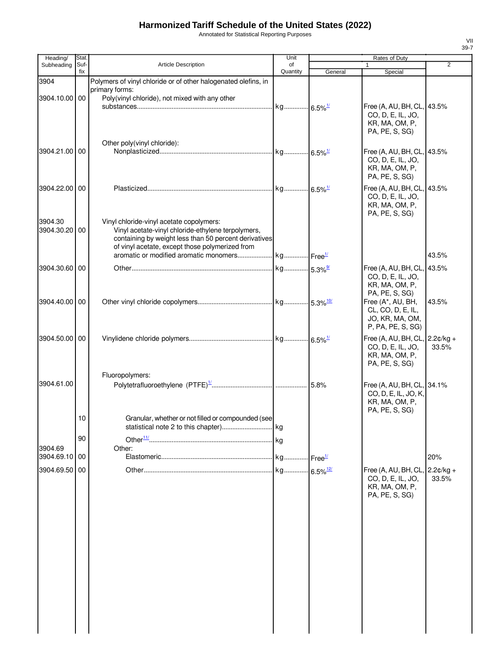Annotated for Statistical Reporting Purposes

| Heading/              | Stat.       |                                                                                                                                                                                                            | Unit                   |         | Rates of Duty                                                                                                          |                      |
|-----------------------|-------------|------------------------------------------------------------------------------------------------------------------------------------------------------------------------------------------------------------|------------------------|---------|------------------------------------------------------------------------------------------------------------------------|----------------------|
| Subheading            | Suf-<br>fix | <b>Article Description</b>                                                                                                                                                                                 | of<br>Quantity         | General | $\mathbf{1}$<br>Special                                                                                                | $\overline{2}$       |
| 3904<br>3904.10.00 00 |             | Polymers of vinyl chloride or of other halogenated olefins, in<br>primary forms:<br>Poly(vinyl chloride), not mixed with any other                                                                         |                        |         |                                                                                                                        |                      |
|                       |             |                                                                                                                                                                                                            |                        |         | Free (A, AU, BH, CL, 43.5%<br>CO, D, E, IL, JO,<br>KR, MA, OM, P,<br>PA, PE, S, SG)                                    |                      |
| 3904.21.00 00         |             | Other poly(vinyl chloride):                                                                                                                                                                                |                        |         | Free (A, AU, BH, CL, 43.5%<br>CO, D, E, IL, JO,<br>KR, MA, OM, P,<br>PA, PE, S, SG)                                    |                      |
| 3904.22.00 00         |             |                                                                                                                                                                                                            |                        |         | Free (A, AU, BH, CL, 43.5%<br>CO, D, E, IL, JO,<br>KR, MA, OM, P,<br>PA, PE, S, SG)                                    |                      |
| 3904.30<br>3904.30.20 | 00          | Vinyl chloride-vinyl acetate copolymers:<br>Vinyl acetate-vinyl chloride-ethylene terpolymers,<br>containing by weight less than 50 percent derivatives<br>of vinyl acetate, except those polymerized from |                        |         |                                                                                                                        | 43.5%                |
|                       |             |                                                                                                                                                                                                            |                        |         |                                                                                                                        |                      |
| 3904.30.60 00         |             |                                                                                                                                                                                                            |                        |         | Free (A, AU, BH, CL, 43.5%<br>CO, D, E, IL, JO,<br>KR, MA, OM, P,<br>PA, PE, S, SG)                                    |                      |
| 3904.40.00 00         |             |                                                                                                                                                                                                            |                        |         | Free (A*, AU, BH,<br>CL, CO, D, E, IL,<br>JO, KR, MA, OM,<br>P, PA, PE, S, SG)                                         | 43.5%                |
| 3904.50.00 00         |             |                                                                                                                                                                                                            |                        |         | Free (A, AU, BH, CL, $\vert$ 2.2 $\mathfrak{c}/\mathsf{kg}$ +<br>CO, D, E, IL, JO,<br>KR, MA, OM, P,<br>PA, PE, S, SG) | 33.5%                |
| 3904.61.00            |             | Fluoropolymers:                                                                                                                                                                                            |                        |         | Free (A, AU, BH, CL, 34.1%<br>CO, D, E, IL, JO, K,<br>KR, MA, OM, P,<br>PA, PE, S, SG)                                 |                      |
|                       | 10          | Granular, whether or not filled or compounded (see                                                                                                                                                         |                        |         |                                                                                                                        |                      |
| 3904.69               | 90          | Other:                                                                                                                                                                                                     |                        |         |                                                                                                                        |                      |
| 3904.69.10            | 00          |                                                                                                                                                                                                            |                        |         |                                                                                                                        | 20%                  |
| 3904.69.50            | 00          |                                                                                                                                                                                                            | kg 6.5% <sup>12/</sup> |         | Free (A, AU, BH, CL,<br>CO, D, E, IL, JO,<br>KR, MA, OM, P,<br>PA, PE, S, SG)                                          | $2.2¢/kg +$<br>33.5% |
|                       |             |                                                                                                                                                                                                            |                        |         |                                                                                                                        |                      |
|                       |             |                                                                                                                                                                                                            |                        |         |                                                                                                                        |                      |
|                       |             |                                                                                                                                                                                                            |                        |         |                                                                                                                        |                      |
|                       |             |                                                                                                                                                                                                            |                        |         |                                                                                                                        |                      |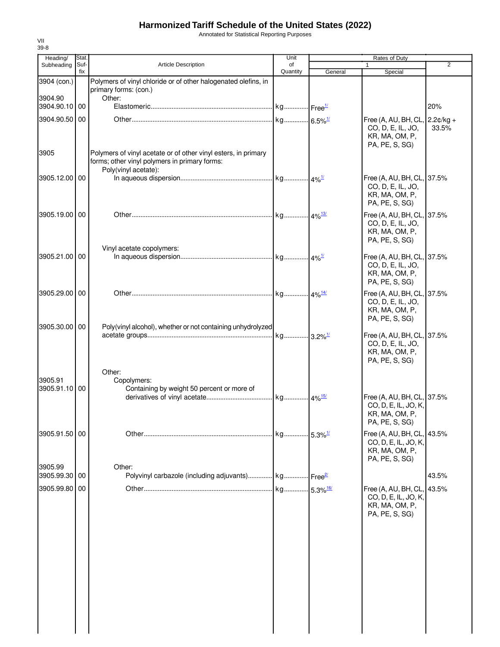Annotated for Statistical Reporting Purposes

| Heading/                 | Stat.            |                                                                                                                 | Unit           |         | Rates of Duty                                                                          |                |
|--------------------------|------------------|-----------------------------------------------------------------------------------------------------------------|----------------|---------|----------------------------------------------------------------------------------------|----------------|
| Subheading               | Suf-<br>fix      | <b>Article Description</b>                                                                                      | of<br>Quantity | General | $\mathbf{1}$<br>Special                                                                | $\overline{2}$ |
| 3904 (con.)              |                  | Polymers of vinyl chloride or of other halogenated olefins, in<br>primary forms: (con.)                         |                |         |                                                                                        |                |
| 3904.90<br>3904.90.10 00 |                  | Other:                                                                                                          |                |         |                                                                                        | 20%            |
| 3904.90.50 00            |                  |                                                                                                                 |                |         | Free (A, AU, BH, CL, 2.2¢/kg +                                                         |                |
| 3905                     |                  | Polymers of vinyl acetate or of other vinyl esters, in primary<br>forms; other vinyl polymers in primary forms: |                |         | CO, D, E, IL, JO,<br>KR, MA, OM, P,<br>PA, PE, S, SG)                                  | 33.5%          |
|                          |                  | Poly(vinyl acetate):                                                                                            |                |         |                                                                                        |                |
| 3905.12.00 00            |                  |                                                                                                                 |                |         | Free (A, AU, BH, CL, 37.5%<br>CO, D, E, IL, JO,<br>KR, MA, OM, P,<br>PA, PE, S, SG)    |                |
| 3905.19.00 00            |                  |                                                                                                                 |                |         | Free (A, AU, BH, CL, 37.5%                                                             |                |
|                          |                  | Vinyl acetate copolymers:                                                                                       |                |         | CO, D, E, IL, JO,<br>KR, MA, OM, P,<br>PA, PE, S, SG)                                  |                |
| 3905.21.00 00            |                  |                                                                                                                 |                |         | Free (A, AU, BH, CL, 37.5%                                                             |                |
|                          |                  |                                                                                                                 |                |         | CO, D, E, IL, JO,<br>KR, MA, OM, P,<br>PA, PE, S, SG)                                  |                |
| 3905.29.00 00            |                  |                                                                                                                 |                |         | Free (A, AU, BH, CL, 37.5%                                                             |                |
| 3905.30.00 00            |                  | Poly(vinyl alcohol), whether or not containing unhydrolyzed                                                     |                |         | CO, D, E, IL, JO,<br>KR, MA, OM, P,<br>PA, PE, S, SG)                                  |                |
|                          |                  |                                                                                                                 |                |         | Free (A, AU, BH, CL, 37.5%                                                             |                |
|                          |                  |                                                                                                                 |                |         | CO, D, E, IL, JO,<br>KR, MA, OM, P,<br>PA, PE, S, SG)                                  |                |
| 3905.91                  |                  | Other:<br>Copolymers:                                                                                           |                |         |                                                                                        |                |
| 3905.91.10               | $\overline{100}$ | Containing by weight 50 percent or more of                                                                      |                |         |                                                                                        |                |
|                          |                  |                                                                                                                 |                |         | Free (A, AU, BH, CL, 37.5%<br>CO, D, E, IL, JO, K,<br>KR, MA, OM, P,<br>PA, PE, S, SG) |                |
| 3905.91.50 00            |                  |                                                                                                                 |                |         | Free (A, AU, BH, CL, 43.5%                                                             |                |
| 3905.99                  |                  | Other:                                                                                                          |                |         | CO, D, E, IL, JO, K,<br>KR, MA, OM, P,<br>PA, PE, S, SG)                               |                |
| 3905.99.30 00            |                  | Polyvinyl carbazole (including adjuvants) kg Free <sup>2/</sup>                                                 |                |         |                                                                                        | 43.5%          |
| 3905.99.80 00            |                  |                                                                                                                 |                |         | Free (A, AU, BH, CL, 43.5%                                                             |                |
|                          |                  |                                                                                                                 |                |         | CO, D, E, IL, JO, K,<br>KR, MA, OM, P,<br>PA, PE, S, SG)                               |                |
|                          |                  |                                                                                                                 |                |         |                                                                                        |                |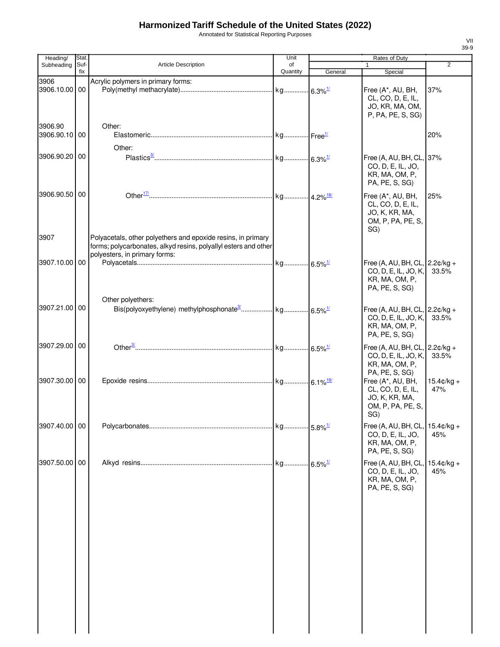Annotated for Statistical Reporting Purposes

| Heading/                 | Stat.       |                                                                                                                                                                  | Unit           |                        | Rates of Duty                                                                                |                             |
|--------------------------|-------------|------------------------------------------------------------------------------------------------------------------------------------------------------------------|----------------|------------------------|----------------------------------------------------------------------------------------------|-----------------------------|
| Subheading               | Suf-<br>fix | <b>Article Description</b>                                                                                                                                       | of<br>Quantity | General                | 1<br>Special                                                                                 | $\overline{2}$              |
| 3906<br>3906.10.00 00    |             | Acrylic polymers in primary forms:                                                                                                                               |                |                        | Free (A*, AU, BH,<br>CL, CO, D, E, IL,<br>JO, KR, MA, OM,<br>P, PA, PE, S, SG)               | 37%                         |
| 3906.90<br>3906.90.10 00 |             | Other:<br>Other:                                                                                                                                                 |                |                        |                                                                                              | 20%                         |
| 3906.90.20 00            |             |                                                                                                                                                                  |                |                        | Free (A, AU, BH, CL, 37%<br>CO, D, E, IL, JO,<br>KR, MA, OM, P,<br>PA, PE, S, SG)            |                             |
| 3906.90.50 00            |             |                                                                                                                                                                  |                |                        | Free (A*, AU, BH,<br>CL, CO, D, E, IL,<br>JO, K, KR, MA,<br>OM, P, PA, PE, S,<br>SG)         | 25%                         |
| 3907                     |             | Polyacetals, other polyethers and epoxide resins, in primary<br>forms; polycarbonates, alkyd resins, polyallyl esters and other<br>polyesters, in primary forms: |                |                        |                                                                                              |                             |
| 3907.10.00 00            |             |                                                                                                                                                                  |                |                        | Free (A, AU, BH, CL, $2.2¢/kg +$<br>CO, D, E, IL, JO, K,<br>KR, MA, OM, P,<br>PA, PE, S, SG) | 33.5%                       |
| 3907.21.00 00            |             | Other polyethers:                                                                                                                                                |                |                        | Free (A, AU, BH, CL, 2.2¢/kg +<br>CO, D, E, IL, JO, K,<br>KR, MA, OM, P,<br>PA, PE, S, SG)   | 33.5%                       |
| 3907.29.00 00            |             |                                                                                                                                                                  |                |                        | Free (A, AU, BH, CL, $2.2¢/kg +$<br>CO, D, E, IL, JO, K,<br>KR, MA, OM, P,<br>PA, PE, S, SG) | 33.5%                       |
| 3907.30.00 00            |             |                                                                                                                                                                  |                |                        | Free (A*, AU, BH,<br>CL, CO, D, E, IL,<br>JO, K, KR, MA,<br>OM, P, PA, PE, S,<br>SG)         | $15.4 \text{C/kg} +$<br>47% |
| 3907.40.00 00            |             |                                                                                                                                                                  |                |                        | Free (A, AU, BH, CL, 15.4¢/kg +<br>CO, D, E, IL, JO,<br>KR, MA, OM, P,<br>PA, PE, S, SG)     | 45%                         |
| 3907.50.00 00            |             |                                                                                                                                                                  |                | $-6.5\%$ <sup>1/</sup> | Free (A, AU, BH, CL,<br>CO, D, E, IL, JO,<br>KR, MA, OM, P,<br>PA, PE, S, SG)                | $15.4¢/kg +$<br>45%         |
|                          |             |                                                                                                                                                                  |                |                        |                                                                                              |                             |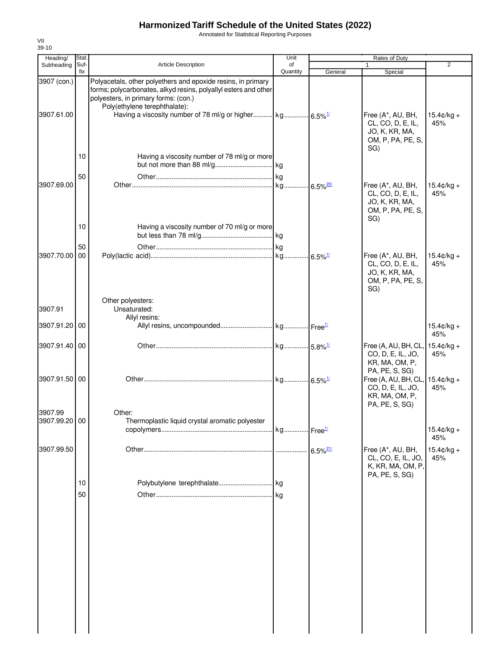Annotated for Statistical Reporting Purposes

| Heading/                  | Stat.       |                                                                                                                                                                                                          | Unit           |                        | Rates of Duty                                                                                   |                             |
|---------------------------|-------------|----------------------------------------------------------------------------------------------------------------------------------------------------------------------------------------------------------|----------------|------------------------|-------------------------------------------------------------------------------------------------|-----------------------------|
| Subheading                | Suf-<br>fix | <b>Article Description</b>                                                                                                                                                                               | of<br>Quantity | General                | $\mathbf{1}$<br>Special                                                                         | $\overline{2}$              |
| 3907 (con.)<br>3907.61.00 |             | Polyacetals, other polyethers and epoxide resins, in primary<br>forms; polycarbonates, alkyd resins, polyallyl esters and other<br>polyesters, in primary forms: (con.)<br>Poly(ethylene terephthalate): |                |                        | Free (A*, AU, BH,                                                                               | $15.4 \text{c/kg} +$        |
|                           |             |                                                                                                                                                                                                          |                |                        | CL, CO, D, E, IL,<br>JO, K, KR, MA,<br>OM, P, PA, PE, S,<br>SG)                                 | 45%                         |
|                           | 10<br>50    | Having a viscosity number of 78 ml/g or more                                                                                                                                                             |                |                        |                                                                                                 |                             |
| 3907.69.00                |             |                                                                                                                                                                                                          |                |                        | Free (A*, AU, BH,<br>CL, CO, D, E, IL,<br>JO, K, KR, MA,<br>OM, P, PA, PE, S,<br>SG)            | $15.4 \text{c/kg} +$<br>45% |
|                           | 10          | Having a viscosity number of 70 ml/g or more                                                                                                                                                             |                |                        |                                                                                                 |                             |
| 3907.70.00                | 50<br>00    |                                                                                                                                                                                                          |                |                        | Free (A*, AU, BH,<br>CL, CO, D, E, IL,<br>JO, K, KR, MA,<br>OM, P, PA, PE, S,<br>SG)            | $15.4 \text{c/kg} +$<br>45% |
| 3907.91                   |             | Other polyesters:<br>Unsaturated:                                                                                                                                                                        |                |                        |                                                                                                 |                             |
| 3907.91.20 00             |             | Allyl resins:                                                                                                                                                                                            |                |                        |                                                                                                 | $15.4¢/kg +$<br>45%         |
| 3907.91.40 00             |             |                                                                                                                                                                                                          |                |                        | Free (A, AU, BH, CL,<br>CO, D, E, IL, JO,<br>KR, MA, OM, P,                                     | $15.4 \text{c/kg} +$<br>45% |
| 3907.91.50 00             |             |                                                                                                                                                                                                          |                |                        | PA, PE, S, SG)<br>Free (A, AU, BH, CL,<br>CO, D, E, IL, JO,<br>KR, MA, OM, P,<br>PA, PE, S, SG) | $15.4$ ¢/kg +<br>45%        |
| 3907.99<br>3907.99.20 00  |             | Other:<br>Thermoplastic liquid crystal aromatic polyester                                                                                                                                                |                |                        |                                                                                                 | $15.4$ ¢/kg +<br>45%        |
| 3907.99.50                |             |                                                                                                                                                                                                          |                | $6.5\%$ <sup>21/</sup> | Free (A*, AU, BH,<br>CL, CO, E, IL, JO,<br>K, KR, MA, OM, P,                                    | $15.4¢/kg +$<br>45%         |
|                           | 10<br>50    |                                                                                                                                                                                                          |                |                        | PA, PE, S, SG)                                                                                  |                             |
|                           |             |                                                                                                                                                                                                          |                |                        |                                                                                                 |                             |
|                           |             |                                                                                                                                                                                                          |                |                        |                                                                                                 |                             |
|                           |             |                                                                                                                                                                                                          |                |                        |                                                                                                 |                             |
|                           |             |                                                                                                                                                                                                          |                |                        |                                                                                                 |                             |
|                           |             |                                                                                                                                                                                                          |                |                        |                                                                                                 |                             |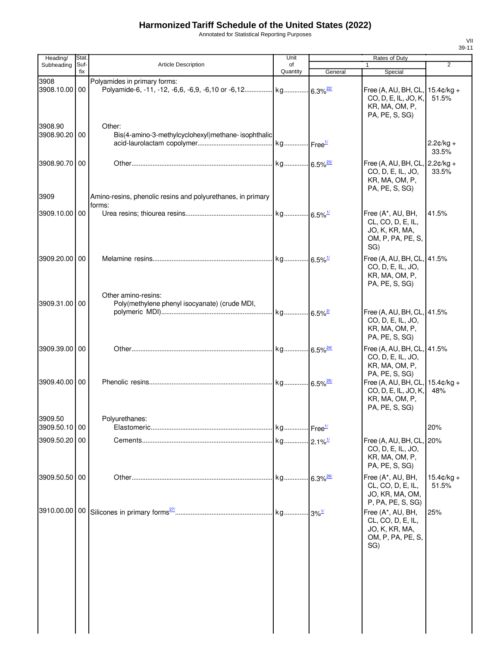Annotated for Statistical Reporting Purposes

| Heading/<br>Subheading   | Stat.<br>Suf- | Article Description                                                   | Unit<br>of |         | Rates of Duty<br>$\mathbf{1}$                                                                 | $\overline{2}$                |
|--------------------------|---------------|-----------------------------------------------------------------------|------------|---------|-----------------------------------------------------------------------------------------------|-------------------------------|
|                          | fix           |                                                                       | Quantity   | General | Special                                                                                       |                               |
| 3908<br>3908.10.00 00    |               | Polyamides in primary forms:                                          |            |         | Free (A, AU, BH, CL,<br>CO, D, E, IL, JO, K,<br>KR, MA, OM, P,<br>PA, PE, S, SG)              | $15.4 \text{C/kg} +$<br>51.5% |
| 3908.90<br>3908.90.20 00 |               | Other:<br>Bis(4-amino-3-methylcyclohexyl)methane-isophthalic          |            |         |                                                                                               | $2.2¢/kg +$<br>33.5%          |
| 3908.90.70 00            |               |                                                                       |            |         | Free (A, AU, BH, CL, 2.2¢/kg +<br>CO, D, E, IL, JO,<br>KR, MA, OM, P,<br>PA, PE, S, SG)       | 33.5%                         |
| 3909                     |               | Amino-resins, phenolic resins and polyurethanes, in primary<br>forms: |            |         |                                                                                               |                               |
| 3909.10.00 00            |               |                                                                       |            |         | Free (A*, AU, BH,<br>CL, CO, D, E, IL,<br>JO, K, KR, MA,<br>OM, P, PA, PE, S,<br>SG)          | 41.5%                         |
| 3909.20.00 00            |               | Other amino-resins:                                                   |            |         | Free (A, AU, BH, CL, 41.5%<br>CO, D, E, IL, JO,<br>KR, MA, OM, P,<br>PA, PE, S, SG)           |                               |
| 3909.31.00 00            |               | Poly(methylene phenyl isocyanate) (crude MDI,                         |            |         | Free (A, AU, BH, CL, 41.5%<br>CO, D, E, IL, JO,<br>KR, MA, OM, P,<br>PA, PE, S, SG)           |                               |
| 3909.39.00 00            |               |                                                                       |            |         | Free (A, AU, BH, CL, 41.5%<br>CO, D, E, IL, JO,<br>KR, MA, OM, P,<br>PA, PE, S, SG)           |                               |
| 3909.40.00 00            |               |                                                                       |            |         | Free (A, AU, BH, CL, $15.4¢/kg +$<br>CO, D, E, IL, JO, K,<br>KR, MA, OM, P,<br>PA, PE, S, SG) | 48%                           |
| 3909.50<br>3909.50.10 00 |               | Polyurethanes:                                                        |            |         |                                                                                               | 20%                           |
| 3909.50.20 00            |               |                                                                       |            |         | Free (A, AU, BH, CL, 20%<br>CO, D, E, IL, JO,<br>KR, MA, OM, P,<br>PA, PE, S, SG)             |                               |
| 3909.50.50 00            |               |                                                                       |            |         | Free (A*, AU, BH,<br>CL, CO, D, E, IL,<br>JO, KR, MA, OM,<br>P, PA, PE, S, SG)                | $15.4$ ¢/kg +<br>51.5%        |
|                          |               |                                                                       |            |         | Free (A*, AU, BH,<br>CL, CO, D, E, IL,<br>JO, K, KR, MA,<br>OM, P, PA, PE, S,<br>SG)          | 25%                           |
|                          |               |                                                                       |            |         |                                                                                               |                               |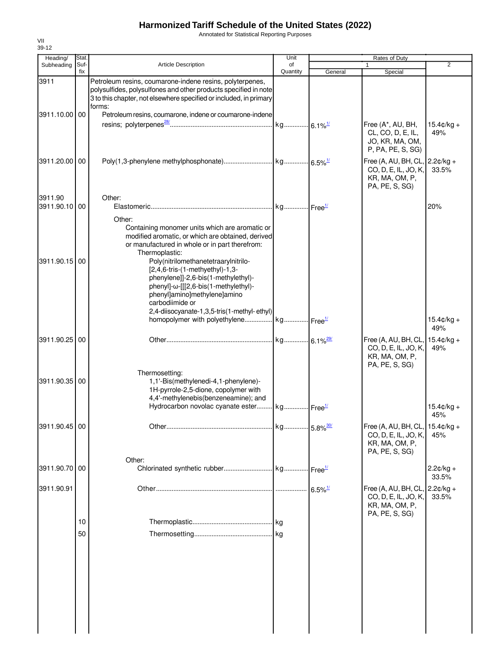Annotated for Statistical Reporting Purposes

| Heading/                 | <b>Stat</b> |                                                                                                                                                                                                                                                                                                                                         | Unit           |                       | Rates of Duty                                                                                                             |                             |
|--------------------------|-------------|-----------------------------------------------------------------------------------------------------------------------------------------------------------------------------------------------------------------------------------------------------------------------------------------------------------------------------------------|----------------|-----------------------|---------------------------------------------------------------------------------------------------------------------------|-----------------------------|
| Subheading               | Suf-<br>fix | <b>Article Description</b>                                                                                                                                                                                                                                                                                                              | of<br>Quantity | General               | Special                                                                                                                   | $\overline{2}$              |
| 3911                     |             | Petroleum resins, coumarone-indene resins, polyterpenes,<br>polysulfides, polysulfones and other products specified in note<br>3 to this chapter, not elsewhere specified or included, in primary<br>forms:                                                                                                                             |                |                       |                                                                                                                           |                             |
| 3911.10.00 00            |             | Petroleum resins, coumarone, indene or coumarone-indene                                                                                                                                                                                                                                                                                 |                |                       | Free (A*, AU, BH,<br>CL, CO, D, E, IL,<br>JO, KR, MA, OM,<br>P, PA, PE, S, SG)                                            | $15.4 \text{c/kg} +$<br>49% |
| 3911.20.00 00            |             |                                                                                                                                                                                                                                                                                                                                         |                |                       | Free (A, AU, BH, CL, $\vert$ 2.2 $\mathfrak{c}/\mathsf{kg}$ +<br>CO, D, E, IL, JO, K,<br>KR, MA, OM, P,<br>PA, PE, S, SG) | 33.5%                       |
| 3911.90<br>3911.90.10 00 |             | Other:<br>Other:<br>Containing monomer units which are aromatic or<br>modified aromatic, or which are obtained, derived                                                                                                                                                                                                                 |                |                       |                                                                                                                           | 20%                         |
| 3911.90.15 00            |             | or manufactured in whole or in part therefrom:<br>Thermoplastic:<br>Poly(nitrilomethanetetraaryInitrilo-<br>$[2,4,6$ -tris- $(1$ -methyethyl $)-1,3$ -<br>phenylene]]-2,6-bis(1-methylethyl)-<br>phenyl]-ω-[[[2,6-bis(1-methylethyl)-<br>phenyl]amino]methylene]amino<br>carbodiimide or<br>2,4-diisocyanate-1,3,5-tris(1-methyl-ethyl) |                |                       |                                                                                                                           |                             |
|                          |             | homopolymer with polyethylene kg Free <sup>1/</sup>                                                                                                                                                                                                                                                                                     |                |                       |                                                                                                                           | $15.4 \text{C/kg} +$<br>49% |
| 3911.90.25 00            |             |                                                                                                                                                                                                                                                                                                                                         |                |                       | Free (A, AU, BH, CL, $15.4¢/kg +$<br>CO, D, E, IL, JO, K,<br>KR, MA, OM, P,<br>PA, PE, S, SG)                             | 49%                         |
| 3911.90.35 00            |             | Thermosetting:<br>1,1'-Bis(methylenedi-4,1-phenylene)-<br>1H-pyrrole-2,5-dione, copolymer with<br>4,4'-methylenebis(benzeneamine); and<br>Hydrocarbon novolac cyanate ester kg Free <sup>1/</sup>                                                                                                                                       |                |                       |                                                                                                                           |                             |
|                          |             |                                                                                                                                                                                                                                                                                                                                         |                |                       |                                                                                                                           | $15.4 \text{C/kg} +$<br>45% |
| 3911.90.45 00            |             |                                                                                                                                                                                                                                                                                                                                         |                |                       | Free (A, AU, BH, CL, 15.4¢/kg +<br>CO, D, E, IL, JO, K,<br>KR, MA, OM, P,<br>PA, PE, S, SG)                               | 45%                         |
| 3911.90.70 00            |             | Other:                                                                                                                                                                                                                                                                                                                                  |                |                       |                                                                                                                           | $2.2¢/kg +$<br>33.5%        |
| 3911.90.91               |             |                                                                                                                                                                                                                                                                                                                                         |                | $6.5\%$ <sup>1/</sup> | Free (A, AU, BH, CL, 2.2¢/kg +<br>CO, D, E, IL, JO, K,<br>KR, MA, OM, P,<br>PA, PE, S, SG)                                | 33.5%                       |
|                          | 10<br>50    |                                                                                                                                                                                                                                                                                                                                         |                |                       |                                                                                                                           |                             |
|                          |             |                                                                                                                                                                                                                                                                                                                                         |                |                       |                                                                                                                           |                             |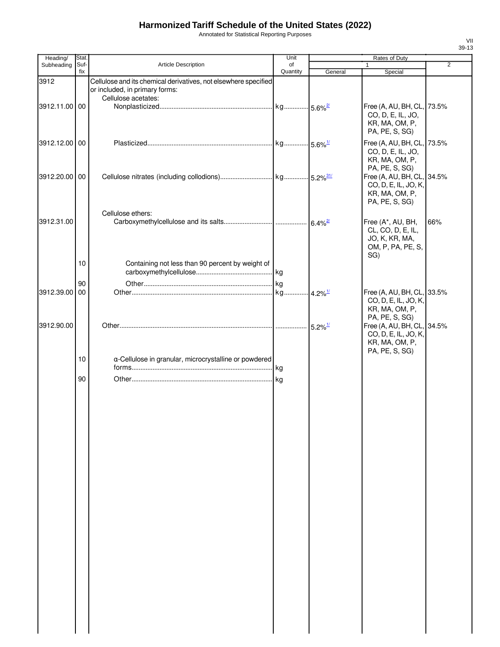Annotated for Statistical Reporting Purposes

| Heading/      | <b>Stat</b> |                                                                 | Unit           |                       | Rates of Duty                                                                                            |                |
|---------------|-------------|-----------------------------------------------------------------|----------------|-----------------------|----------------------------------------------------------------------------------------------------------|----------------|
| Subheading    | Suf-<br>fix | Article Description                                             | of<br>Quantity | General               | 1                                                                                                        | $\overline{2}$ |
| 3912          |             | Cellulose and its chemical derivatives, not elsewhere specified |                |                       | Special                                                                                                  |                |
|               |             | or included, in primary forms:<br>Cellulose acetates:           |                |                       |                                                                                                          |                |
| 3912.11.00 00 |             |                                                                 |                |                       | Free (A, AU, BH, CL, 73.5%<br>CO, D, E, IL, JO,<br>KR, MA, OM, P,<br>PA, PE, S, SG)                      |                |
| 3912.12.00 00 |             |                                                                 |                |                       | Free (A, AU, BH, CL, 73.5%<br>CO, D, E, IL, JO,<br>KR, MA, OM, P,                                        |                |
| 3912.20.00 00 |             |                                                                 |                |                       | PA, PE, S, SG)<br>Free (A, AU, BH, CL, 34.5%<br>CO, D, E, IL, JO, K,<br>KR, MA, OM, P,<br>PA, PE, S, SG) |                |
| 3912.31.00    |             | Cellulose ethers:                                               |                |                       | Free (A*, AU, BH,<br>CL, CO, D, E, IL,<br>JO, K, KR, MA,<br>OM, P, PA, PE, S,<br>SG)                     | 66%            |
|               | 10          | Containing not less than 90 percent by weight of                |                |                       |                                                                                                          |                |
| 3912.39.00    | 90<br>00    |                                                                 |                | $4.2\%$ <sup>1/</sup> | Free (A, AU, BH, CL, 33.5%<br>CO, D, E, IL, JO, K,<br>KR, MA, OM, P,                                     |                |
| 3912.90.00    |             |                                                                 |                | $5.2\%$ <sup>1/</sup> | PA, PE, S, SG)<br>Free (A, AU, BH, CL, 34.5%<br>CO, D, E, IL, JO, K,<br>KR, MA, OM, P,                   |                |
|               | 10          | a-Cellulose in granular, microcrystalline or powdered           |                |                       | PA, PE, S, SG)                                                                                           |                |
|               | 90          |                                                                 |                |                       |                                                                                                          |                |
|               |             |                                                                 |                |                       |                                                                                                          |                |
|               |             |                                                                 |                |                       |                                                                                                          |                |
|               |             |                                                                 |                |                       |                                                                                                          |                |
|               |             |                                                                 |                |                       |                                                                                                          |                |
|               |             |                                                                 |                |                       |                                                                                                          |                |
|               |             |                                                                 |                |                       |                                                                                                          |                |
|               |             |                                                                 |                |                       |                                                                                                          |                |
|               |             |                                                                 |                |                       |                                                                                                          |                |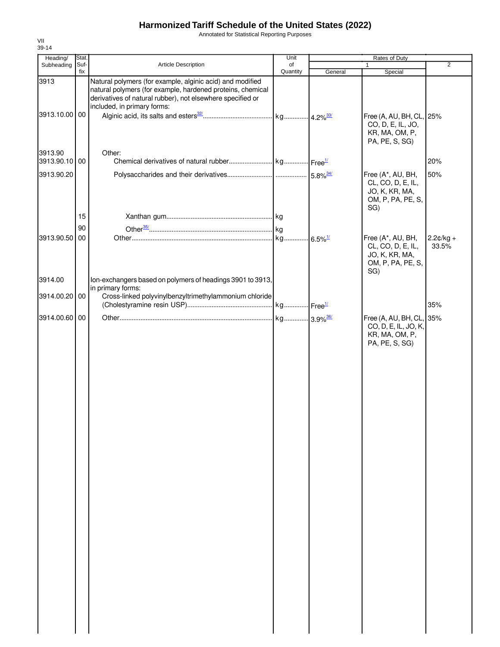Annotated for Statistical Reporting Purposes

| Heading/                 | Stat.       |                                                                                                                                                                                                                      | Unit                   |         | Rates of Duty                                                                        |                      |
|--------------------------|-------------|----------------------------------------------------------------------------------------------------------------------------------------------------------------------------------------------------------------------|------------------------|---------|--------------------------------------------------------------------------------------|----------------------|
| Subheading               | Suf-<br>fix | <b>Article Description</b>                                                                                                                                                                                           | of<br>Quantity         |         |                                                                                      | $\overline{2}$       |
| 3913                     |             | Natural polymers (for example, alginic acid) and modified<br>natural polymers (for example, hardened proteins, chemical<br>derivatives of natural rubber), not elsewhere specified or<br>included, in primary forms: |                        | General | Special                                                                              |                      |
| 3913.10.00 00            |             |                                                                                                                                                                                                                      |                        |         | Free (A, AU, BH, CL, 25%<br>CO, D, E, IL, JO,<br>KR, MA, OM, P,<br>PA, PE, S, SG)    |                      |
| 3913.90<br>3913.90.10 00 |             | Other:                                                                                                                                                                                                               |                        |         |                                                                                      | 20%                  |
| 3913.90.20               |             |                                                                                                                                                                                                                      |                        |         | Free (A*, AU, BH,<br>CL, CO, D, E, IL,<br>JO, K, KR, MA,<br>OM, P, PA, PE, S,<br>SG) | 50%                  |
|                          | 15          |                                                                                                                                                                                                                      |                        |         |                                                                                      |                      |
|                          | 90          |                                                                                                                                                                                                                      |                        |         |                                                                                      |                      |
| 3913.90.50 00            |             |                                                                                                                                                                                                                      |                        |         | Free (A*, AU, BH,<br>CL, CO, D, E, IL,<br>JO, K, KR, MA,<br>OM, P, PA, PE, S,<br>SG) | $2.2¢/kg +$<br>33.5% |
| 3914.00                  |             | Ion-exchangers based on polymers of headings 3901 to 3913,                                                                                                                                                           |                        |         |                                                                                      |                      |
| 3914.00.20 00            |             | in primary forms:<br>Cross-linked polyvinylbenzyltrimethylammonium chloride                                                                                                                                          |                        |         |                                                                                      | 35%                  |
| 3914.00.60 00            |             |                                                                                                                                                                                                                      | kg 3.9% <sup>36/</sup> |         | Free (A, AU, BH, CL, 35%                                                             |                      |
|                          |             |                                                                                                                                                                                                                      |                        |         | CO, D, E, IL, JO, K,<br>KR, MA, OM, P,<br>PA, PE, S, SG)                             |                      |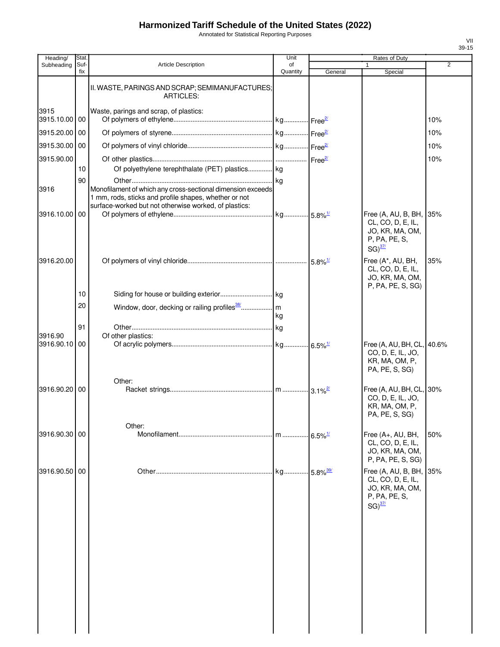Annotated for Statistical Reporting Purposes

| Heading/              | Stat        |                                                                                                                                                                               | Unit           |                       | Rates of Duty                                                                                        |     |
|-----------------------|-------------|-------------------------------------------------------------------------------------------------------------------------------------------------------------------------------|----------------|-----------------------|------------------------------------------------------------------------------------------------------|-----|
| Subheading            | Suf-<br>fix | <b>Article Description</b>                                                                                                                                                    | of<br>Quantity | General               | Special                                                                                              | 2   |
|                       |             | II. WASTE, PARINGS AND SCRAP; SEMIMANUFACTURES;<br><b>ARTICLES:</b>                                                                                                           |                |                       |                                                                                                      |     |
| 3915<br>3915.10.00 00 |             | Waste, parings and scrap, of plastics:                                                                                                                                        |                |                       |                                                                                                      | 10% |
| 3915.20.00            | 00          |                                                                                                                                                                               |                |                       |                                                                                                      | 10% |
| 3915.30.00            | 00          |                                                                                                                                                                               |                |                       |                                                                                                      | 10% |
| 3915.90.00            |             |                                                                                                                                                                               |                |                       |                                                                                                      | 10% |
|                       | 10          | Of polyethylene terephthalate (PET) plastics kg                                                                                                                               |                |                       |                                                                                                      |     |
| 3916                  | 90          | Monofilament of which any cross-sectional dimension exceeds<br>1 mm, rods, sticks and profile shapes, whether or not<br>surface-worked but not otherwise worked, of plastics: |                |                       |                                                                                                      |     |
| 3916.10.00            | 00          |                                                                                                                                                                               |                |                       | Free (A, AU, B, BH,<br>CL, CO, D, E, IL,<br>JO, KR, MA, OM,<br>P, PA, PE, S,<br>$SG)$ <sup>37/</sup> | 35% |
| 3916.20.00            |             |                                                                                                                                                                               |                |                       | Free (A*, AU, BH,<br>CL, CO, D, E, IL,<br>JO, KR, MA, OM,<br>P, PA, PE, S, SG)                       | 35% |
|                       | 10          |                                                                                                                                                                               |                |                       |                                                                                                      |     |
|                       | 20          |                                                                                                                                                                               | kg             |                       |                                                                                                      |     |
|                       | 91          |                                                                                                                                                                               |                |                       |                                                                                                      |     |
| 3916.90<br>3916.90.10 | 00          | Of other plastics:                                                                                                                                                            |                |                       | Free (A, AU, BH, CL, 40.6%<br>CO, D, E, IL, JO,<br>KR, MA, OM, P,<br>PA, PE, S, SG)                  |     |
| 3916.90.20 00         |             | Other:                                                                                                                                                                        |                |                       | Free (A, AU, BH, CL, 30%<br>CO, D, E, IL, JO,<br>KR, MA, OM, P,<br>PA, PE, S, SG)                    |     |
|                       |             | Other:                                                                                                                                                                        |                |                       |                                                                                                      |     |
| 3916.90.30            | 00          |                                                                                                                                                                               |                | $6.5\%$ <sup>1/</sup> | Free (A+, AU, BH,<br>CL, CO, D, E, IL,<br>JO, KR, MA, OM,<br>P, PA, PE, S, SG)                       | 50% |
| 3916.90.50            | 00          |                                                                                                                                                                               |                | 5.8% $\frac{39}{1}$   | Free (A, AU, B, BH, 35%<br>CL, CO, D, E, IL,<br>JO, KR, MA, OM,<br>P, PA, PE, S,<br>$SG)^{37/2}$     |     |
|                       |             |                                                                                                                                                                               |                |                       |                                                                                                      |     |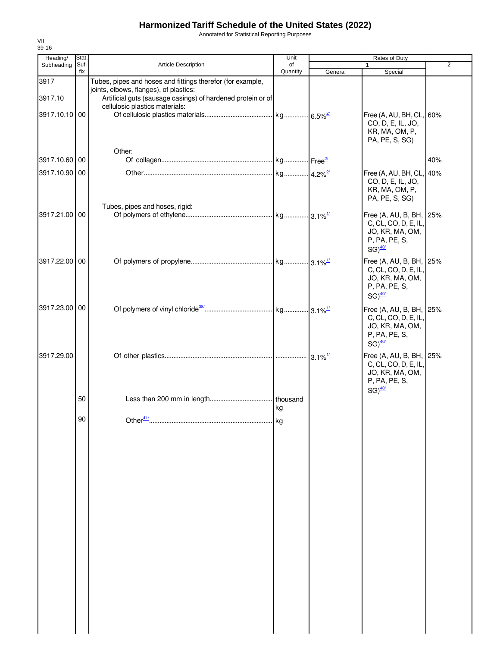Annotated for Statistical Reporting Purposes

| Heading/                         | Stat.       |                                                                                                                                                                                                       | Unit           |         | Rates of Duty                                                                                               |                |
|----------------------------------|-------------|-------------------------------------------------------------------------------------------------------------------------------------------------------------------------------------------------------|----------------|---------|-------------------------------------------------------------------------------------------------------------|----------------|
| Subheading                       | Suf-<br>fix | Article Description                                                                                                                                                                                   | of<br>Quantity | General | Special                                                                                                     | $\overline{2}$ |
| 3917<br>3917.10<br>3917.10.10 00 |             | Tubes, pipes and hoses and fittings therefor (for example,<br>joints, elbows, flanges), of plastics:<br>Artificial guts (sausage casings) of hardened protein or of<br>cellulosic plastics materials: |                |         | Free (A, AU, BH, CL, 60%<br>CO, D, E, IL, JO,<br>KR, MA, OM, P,<br>PA, PE, S, SG)                           |                |
| 3917.10.60 00                    |             | Other:                                                                                                                                                                                                |                |         |                                                                                                             | 40%            |
| 3917.10.90 00                    |             |                                                                                                                                                                                                       |                |         | Free (A, AU, BH, CL, 40%<br>CO, D, E, IL, JO,<br>KR, MA, OM, P,<br>PA, PE, S, SG)                           |                |
| 3917.21.00 00                    |             | Tubes, pipes and hoses, rigid:                                                                                                                                                                        |                |         | Free (A, AU, B, BH, 25%<br>C, CL, CO, D, E, IL,<br>JO, KR, MA, OM,<br>P, PA, PE, S,<br>$SG)$ <sup>40/</sup> |                |
| 3917.22.00 00                    |             |                                                                                                                                                                                                       |                |         | Free (A, AU, B, BH, 25%<br>C, CL, CO, D, E, IL,<br>JO, KR, MA, OM,<br>P, PA, PE, S,<br>$SG)$ <sup>40/</sup> |                |
| 3917.23.00 00                    |             |                                                                                                                                                                                                       |                |         | Free (A, AU, B, BH, 25%<br>C, CL, CO, D, E, IL,<br>JO, KR, MA, OM,<br>P, PA, PE, S,<br>$SG)$ <sup>40/</sup> |                |
| 3917.29.00                       |             |                                                                                                                                                                                                       |                |         | Free (A, AU, B, BH, 25%<br>C, CL, CO, D, E, IL,<br>JO, KR, MA, OM,<br>P, PA, PE, S,<br>$SG)$ <sup>40/</sup> |                |
|                                  | 50          |                                                                                                                                                                                                       | thousand<br>kg |         |                                                                                                             |                |
|                                  | 90          |                                                                                                                                                                                                       |                |         |                                                                                                             |                |
|                                  |             |                                                                                                                                                                                                       |                |         |                                                                                                             |                |
|                                  |             |                                                                                                                                                                                                       |                |         |                                                                                                             |                |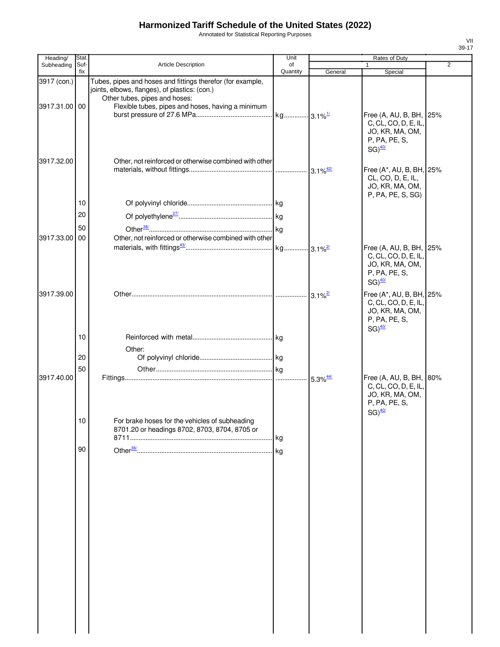Annotated for Statistical Reporting Purposes

| Heading/      | Stat.       |                                                                                                                                              | Unit           |         | Rates of Duty                                                                                                |                |
|---------------|-------------|----------------------------------------------------------------------------------------------------------------------------------------------|----------------|---------|--------------------------------------------------------------------------------------------------------------|----------------|
| Subheading    | Suf-<br>fix | Article Description                                                                                                                          | οf<br>Quantity | General | 1<br>Special                                                                                                 | $\overline{2}$ |
| 3917 (con.)   |             | Tubes, pipes and hoses and fittings therefor (for example,<br>joints, elbows, flanges), of plastics: (con.)<br>Other tubes, pipes and hoses: |                |         |                                                                                                              |                |
| 3917.31.00 00 |             | Flexible tubes, pipes and hoses, having a minimum                                                                                            |                |         | Free (A, AU, B, BH, 25%<br>C, CL, CO, D, E, IL,<br>JO, KR, MA, OM,<br>P, PA, PE, S,                          |                |
| 3917.32.00    |             | Other, not reinforced or otherwise combined with other                                                                                       |                |         | $SG)$ <sup>40/</sup><br>Free (A*, AU, B, BH, 25%<br>CL, CO, D, E, IL,                                        |                |
|               | 10          |                                                                                                                                              |                |         | JO, KR, MA, OM,<br>P, PA, PE, S, SG)                                                                         |                |
|               | 20          |                                                                                                                                              |                |         |                                                                                                              |                |
| 3917.33.00    | 50<br>00    | Other, not reinforced or otherwise combined with other                                                                                       |                |         | Free (A, AU, B, BH, 25%                                                                                      |                |
|               |             |                                                                                                                                              |                |         | C, CL, CO, D, E, IL,<br>JO, KR, MA, OM,<br>P, PA, PE, S,<br>$SG)$ <sup>40/</sup>                             |                |
| 3917.39.00    |             |                                                                                                                                              |                |         | Free (A*, AU, B, BH, 25%<br>C, CL, CO, D, E, IL,<br>JO, KR, MA, OM,<br>P, PA, PE, S,<br>$SG)$ <sup>40/</sup> |                |
|               | 10          | Other:                                                                                                                                       |                |         |                                                                                                              |                |
|               | 20          |                                                                                                                                              |                |         |                                                                                                              |                |
|               | 50          |                                                                                                                                              |                |         |                                                                                                              |                |
| 3917.40.00    | 10          | For brake hoses for the vehicles of subheading                                                                                               |                |         | Free (A, AU, B, BH, 80%<br>C, CL, CO, D, E, IL,<br>JO, KR, MA, OM,<br>P, PA, PE, S,<br>$SG)$ <sup>40/</sup>  |                |
|               |             | 8701.20 or headings 8702, 8703, 8704, 8705 or                                                                                                |                |         |                                                                                                              |                |
|               | 90          |                                                                                                                                              |                |         |                                                                                                              |                |
|               |             |                                                                                                                                              |                |         |                                                                                                              |                |
|               |             |                                                                                                                                              |                |         |                                                                                                              |                |
|               |             |                                                                                                                                              |                |         |                                                                                                              |                |
|               |             |                                                                                                                                              |                |         |                                                                                                              |                |
|               |             |                                                                                                                                              |                |         |                                                                                                              |                |
|               |             |                                                                                                                                              |                |         |                                                                                                              |                |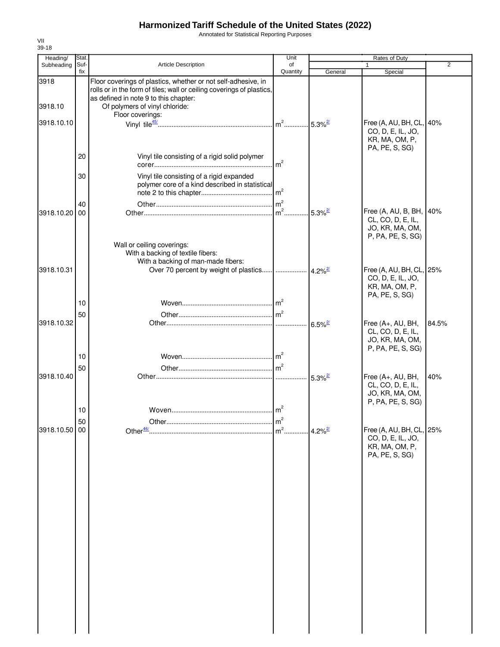Annotated for Statistical Reporting Purposes

| Heading/      | Stat.       |                                                                                                                                                                                 | Unit                                 |                       | Rates of Duty                                                                        |                |
|---------------|-------------|---------------------------------------------------------------------------------------------------------------------------------------------------------------------------------|--------------------------------------|-----------------------|--------------------------------------------------------------------------------------|----------------|
| Subheading    | Suf-<br>fix | <b>Article Description</b>                                                                                                                                                      | of<br>Quantity                       | General               | $\mathbf{1}$<br>Special                                                              | $\overline{2}$ |
| 3918          |             | Floor coverings of plastics, whether or not self-adhesive, in<br>rolls or in the form of tiles; wall or ceiling coverings of plastics,<br>as defined in note 9 to this chapter: |                                      |                       |                                                                                      |                |
| 3918.10       |             | Of polymers of vinyl chloride:<br>Floor coverings:                                                                                                                              |                                      |                       |                                                                                      |                |
| 3918.10.10    |             |                                                                                                                                                                                 |                                      |                       | Free (A, AU, BH, CL, 40%<br>CO, D, E, IL, JO,<br>KR, MA, OM, P,                      |                |
|               | 20          | Vinyl tile consisting of a rigid solid polymer                                                                                                                                  | m <sup>2</sup>                       |                       | PA, PE, S, SG)                                                                       |                |
|               | 30          | Vinyl tile consisting of a rigid expanded<br>polymer core of a kind described in statistical                                                                                    |                                      |                       |                                                                                      |                |
| 3918.10.20    | 40<br>00    |                                                                                                                                                                                 | $\mathsf{Im}^2$<br>$\mathsf{Im}^2$ . | $5.3\%$ <sup>2/</sup> | Free (A, AU, B, BH, 40%<br>CL, CO, D, E, IL,<br>JO, KR, MA, OM,<br>P, PA, PE, S, SG) |                |
| 3918.10.31    |             | Wall or ceiling coverings:<br>With a backing of textile fibers:<br>With a backing of man-made fibers:                                                                           |                                      |                       | Free (A, AU, BH, CL, 25%                                                             |                |
|               | 10          |                                                                                                                                                                                 | m <sup>2</sup>                       |                       | CO, D, E, IL, JO,<br>KR, MA, OM, P,<br>PA, PE, S, SG)                                |                |
|               | 50          |                                                                                                                                                                                 |                                      |                       |                                                                                      |                |
| 3918.10.32    |             |                                                                                                                                                                                 |                                      | $6.5\%$ <sup>2/</sup> | Free (A+, AU, BH,<br>CL, CO, D, E, IL,<br>JO, KR, MA, OM,<br>P, PA, PE, S, SG)       | 84.5%          |
|               | 10<br>50    |                                                                                                                                                                                 |                                      |                       |                                                                                      |                |
| 3918.10.40    |             |                                                                                                                                                                                 |                                      | $5.3\%$ <sup>2/</sup> | Free (A+, AU, BH,<br>CL, CO, D, E, IL,<br>JO, KR, MA, OM,<br>P, PA, PE, S, SG)       | 40%            |
|               | 10<br>50    |                                                                                                                                                                                 | m <sup>2</sup><br>m <sup>2</sup>     |                       |                                                                                      |                |
| 3918.10.50 00 |             | Other <sup>46/</sup>                                                                                                                                                            | .                                    | $4.2\%$ <sup>2/</sup> | Free (A, AU, BH, CL, 25%<br>CO, D, E, IL, JO,<br>KR, MA, OM, P,<br>PA, PE, S, SG)    |                |
|               |             |                                                                                                                                                                                 |                                      |                       |                                                                                      |                |
|               |             |                                                                                                                                                                                 |                                      |                       |                                                                                      |                |
|               |             |                                                                                                                                                                                 |                                      |                       |                                                                                      |                |
|               |             |                                                                                                                                                                                 |                                      |                       |                                                                                      |                |
|               |             |                                                                                                                                                                                 |                                      |                       |                                                                                      |                |
|               |             |                                                                                                                                                                                 |                                      |                       |                                                                                      |                |
|               |             |                                                                                                                                                                                 |                                      |                       |                                                                                      |                |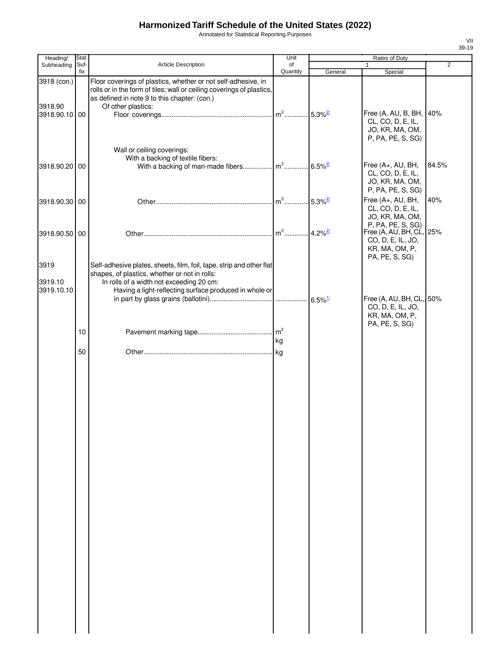Annotated for Statistical Reporting Purposes

| Heading/               | Stat. |                                                                                                                                                                                                              | Unit                 |                       | Rates of Duty                                                                        |                |
|------------------------|-------|--------------------------------------------------------------------------------------------------------------------------------------------------------------------------------------------------------------|----------------------|-----------------------|--------------------------------------------------------------------------------------|----------------|
| Subheading             | Suf-  | <b>Article Description</b>                                                                                                                                                                                   | of                   |                       | $\mathbf{1}$                                                                         | $\overline{2}$ |
|                        | fix   |                                                                                                                                                                                                              | Quantity             | General               | Special                                                                              |                |
| 3918 (con.)<br>3918.90 |       | Floor coverings of plastics, whether or not self-adhesive, in<br>rolls or in the form of tiles; wall or ceiling coverings of plastics,<br>as defined in note 9 to this chapter: (con.)<br>Of other plastics: |                      |                       |                                                                                      |                |
| 3918.90.10 00          |       |                                                                                                                                                                                                              | $m2$                 | $5.3\%$ <sup>2/</sup> | Free (A, AU, B, BH, 40%<br>CL, CO, D, E, IL,<br>JO, KR, MA, OM,<br>P, PA, PE, S, SG) |                |
|                        |       | Wall or ceiling coverings:<br>With a backing of textile fibers:                                                                                                                                              |                      |                       |                                                                                      |                |
| 3918.90.20 00          |       | With a backing of man-made fibers m <sup>2</sup>                                                                                                                                                             |                      | $6.5\%$ <sup>2/</sup> | Free (A+, AU, BH,<br>CL, CO, D, E, IL,<br>JO, KR, MA, OM,<br>P, PA, PE, S, SG)       | 84.5%          |
| 3918.90.30 00          |       |                                                                                                                                                                                                              | $m2$                 | $5.3\%$ <sup>2/</sup> | Free (A+, AU, BH,<br>CL, CO, D, E, IL,<br>JO, KR, MA, OM,<br>P, PA, PE, S, SG)       | 40%            |
| 3918.90.50 00          |       |                                                                                                                                                                                                              | $m2$ .               | $4.2\%$ <sup>2/</sup> | Free (A, AU, BH, CL, 25%<br>CO, D, E, IL, JO,<br>KR, MA, OM, P,                      |                |
| 3919                   |       | Self-adhesive plates, sheets, film, foil, tape, strip and other flat<br>shapes, of plastics, whether or not in rolls:                                                                                        |                      |                       | PA, PE, S, SG)                                                                       |                |
| 3919.10<br>3919.10.10  |       | In rolls of a width not exceeding 20 cm:<br>Having a light-reflecting surface produced in whole or                                                                                                           |                      |                       | Free (A, AU, BH, CL, 50%                                                             |                |
|                        |       |                                                                                                                                                                                                              |                      |                       | CO, D, E, IL, JO,<br>KR, MA, OM, P,<br>PA, PE, S, SG)                                |                |
|                        | 10    |                                                                                                                                                                                                              | m <sup>2</sup><br>kg |                       |                                                                                      |                |
|                        | 50    |                                                                                                                                                                                                              | kg                   |                       |                                                                                      |                |
|                        |       |                                                                                                                                                                                                              |                      |                       |                                                                                      |                |
|                        |       |                                                                                                                                                                                                              |                      |                       |                                                                                      |                |
|                        |       |                                                                                                                                                                                                              |                      |                       |                                                                                      |                |
|                        |       |                                                                                                                                                                                                              |                      |                       |                                                                                      |                |
|                        |       |                                                                                                                                                                                                              |                      |                       |                                                                                      |                |
|                        |       |                                                                                                                                                                                                              |                      |                       |                                                                                      |                |
|                        |       |                                                                                                                                                                                                              |                      |                       |                                                                                      |                |
|                        |       |                                                                                                                                                                                                              |                      |                       |                                                                                      |                |
|                        |       |                                                                                                                                                                                                              |                      |                       |                                                                                      |                |
|                        |       |                                                                                                                                                                                                              |                      |                       |                                                                                      |                |
|                        |       |                                                                                                                                                                                                              |                      |                       |                                                                                      |                |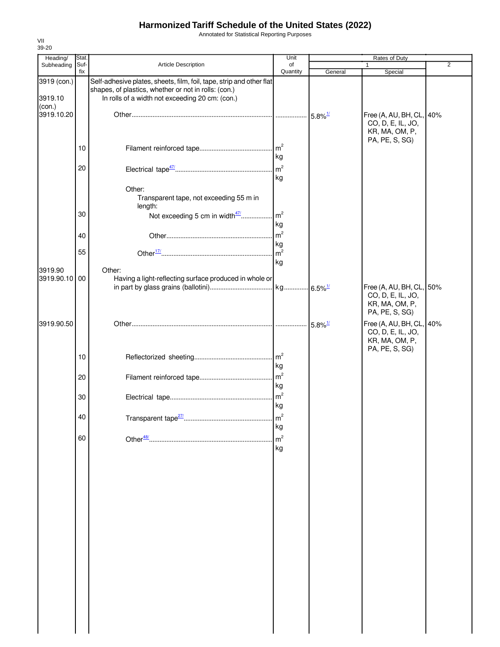Annotated for Statistical Reporting Purposes

| Heading/                         | Stat.       |                                                                                                                                                                                 | Unit                 | Rates of Duty         |                                                                                   |                |
|----------------------------------|-------------|---------------------------------------------------------------------------------------------------------------------------------------------------------------------------------|----------------------|-----------------------|-----------------------------------------------------------------------------------|----------------|
| Subheading                       | Suf-<br>fix | Article Description                                                                                                                                                             | of<br>Quantity       | General               | 1<br>Special                                                                      | $\overline{2}$ |
| 3919 (con.)<br>3919.10<br>(con.) |             | Self-adhesive plates, sheets, film, foil, tape, strip and other flat<br>shapes, of plastics, whether or not in rolls: (con.)<br>In rolls of a width not exceeding 20 cm: (con.) |                      |                       |                                                                                   |                |
| 3919.10.20                       |             |                                                                                                                                                                                 |                      | $5.8\%$ <sup>1/</sup> | Free (A, AU, BH, CL, 40%<br>CO, D, E, IL, JO,<br>KR, MA, OM, P,<br>PA, PE, S, SG) |                |
|                                  | 10          |                                                                                                                                                                                 | kg                   |                       |                                                                                   |                |
|                                  | 20          |                                                                                                                                                                                 | kg                   |                       |                                                                                   |                |
|                                  |             | Other:<br>Transparent tape, not exceeding 55 m in<br>length:                                                                                                                    |                      |                       |                                                                                   |                |
|                                  | 30          | Not exceeding 5 cm in width47/                                                                                                                                                  | m <sup>2</sup><br>kg |                       |                                                                                   |                |
|                                  | 40<br>55    |                                                                                                                                                                                 | m <sup>2</sup><br>kg |                       |                                                                                   |                |
| 3919.90                          |             | Other:                                                                                                                                                                          | kg                   |                       |                                                                                   |                |
| 3919.90.10 00                    |             | Having a light-reflecting surface produced in whole or                                                                                                                          |                      |                       | Free (A, AU, BH, CL, 50%<br>CO, D, E, IL, JO,<br>KR, MA, OM, P,<br>PA, PE, S, SG) |                |
| 3919.90.50                       |             |                                                                                                                                                                                 |                      | $5.8\%$ <sup>1/</sup> | Free (A, AU, BH, CL, 40%<br>CO, D, E, IL, JO,<br>KR, MA, OM, P,                   |                |
|                                  | 10          |                                                                                                                                                                                 | kg                   |                       | PA, PE, S, SG)                                                                    |                |
|                                  | 20          |                                                                                                                                                                                 | kg                   |                       |                                                                                   |                |
|                                  | 30          |                                                                                                                                                                                 | m <sup>2</sup><br>kg |                       |                                                                                   |                |
|                                  | 40          | Transparent tape <sup>27/</sup>                                                                                                                                                 | m <sup>2</sup><br>kg |                       |                                                                                   |                |
|                                  | 60          |                                                                                                                                                                                 | m <sup>2</sup><br>kg |                       |                                                                                   |                |
|                                  |             |                                                                                                                                                                                 |                      |                       |                                                                                   |                |
|                                  |             |                                                                                                                                                                                 |                      |                       |                                                                                   |                |
|                                  |             |                                                                                                                                                                                 |                      |                       |                                                                                   |                |
|                                  |             |                                                                                                                                                                                 |                      |                       |                                                                                   |                |
|                                  |             |                                                                                                                                                                                 |                      |                       |                                                                                   |                |
|                                  |             |                                                                                                                                                                                 |                      |                       |                                                                                   |                |
|                                  |             |                                                                                                                                                                                 |                      |                       |                                                                                   |                |
|                                  |             |                                                                                                                                                                                 |                      |                       |                                                                                   |                |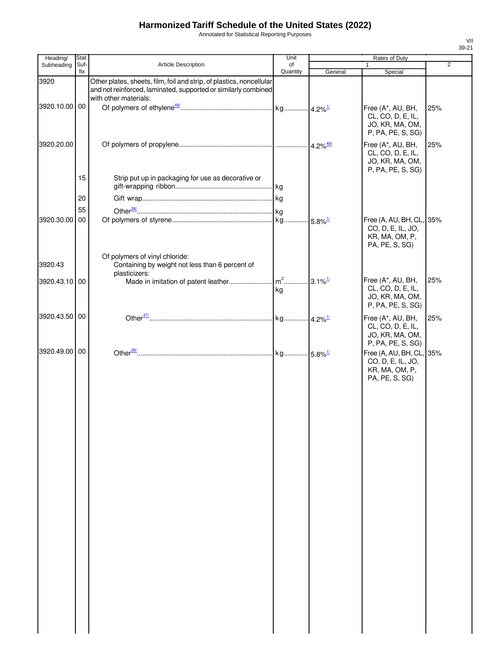Annotated for Statistical Reporting Purposes

| Heading/      | Stat.       |                                                                                                                                                                 | Unit           |         | Rates of Duty                                                                     |     |
|---------------|-------------|-----------------------------------------------------------------------------------------------------------------------------------------------------------------|----------------|---------|-----------------------------------------------------------------------------------|-----|
| Subheading    | Suf-<br>fix | <b>Article Description</b>                                                                                                                                      | of<br>Quantity | General | Special                                                                           | 2   |
| 3920          |             | Other plates, sheets, film, foil and strip, of plastics, noncellular<br>and not reinforced, laminated, supported or similarly combined<br>with other materials: |                |         |                                                                                   |     |
| 3920.10.00 00 |             |                                                                                                                                                                 |                |         | Free (A*, AU, BH,<br>CL, CO, D, E, IL,<br>JO, KR, MA, OM,<br>P, PA, PE, S, SG)    | 25% |
| 3920.20.00    |             |                                                                                                                                                                 |                |         | Free (A*, AU, BH,<br>CL, CO, D, E, IL,<br>JO, KR, MA, OM,<br>P, PA, PE, S, SG)    | 25% |
|               | 15          | Strip put up in packaging for use as decorative or                                                                                                              |                |         |                                                                                   |     |
|               | 20          |                                                                                                                                                                 |                |         |                                                                                   |     |
|               | 55          |                                                                                                                                                                 |                |         |                                                                                   |     |
| 3920.30.00    | 00          |                                                                                                                                                                 |                |         | Free (A, AU, BH, CL, 35%<br>CO, D, E, IL, JO,<br>KR, MA, OM, P,<br>PA, PE, S, SG) |     |
| 3920.43       |             | Of polymers of vinyl chloride:<br>Containing by weight not less than 6 percent of<br>plasticizers:                                                              |                |         |                                                                                   |     |
| 3920.43.10 00 |             |                                                                                                                                                                 | kg             |         | Free (A*, AU, BH,<br>CL, CO, D, E, IL,<br>JO, KR, MA, OM,<br>P, PA, PE, S, SG)    | 25% |
| 3920.43.50 00 |             |                                                                                                                                                                 |                |         | Free (A*, AU, BH,<br>CL, CO, D, E, IL,<br>JO, KR, MA, OM,<br>P, PA, PE, S, SG)    | 25% |
| 3920.49.00 00 |             |                                                                                                                                                                 |                |         | Free (A, AU, BH, CL, 35%<br>CO, D, E, IL, JO,<br>KR, MA, OM, P,<br>PA, PE, S, SG) |     |
|               |             |                                                                                                                                                                 |                |         |                                                                                   |     |
|               |             |                                                                                                                                                                 |                |         |                                                                                   |     |
|               |             |                                                                                                                                                                 |                |         |                                                                                   |     |
|               |             |                                                                                                                                                                 |                |         |                                                                                   |     |
|               |             |                                                                                                                                                                 |                |         |                                                                                   |     |
|               |             |                                                                                                                                                                 |                |         |                                                                                   |     |
|               |             |                                                                                                                                                                 |                |         |                                                                                   |     |
|               |             |                                                                                                                                                                 |                |         |                                                                                   |     |
|               |             |                                                                                                                                                                 |                |         |                                                                                   |     |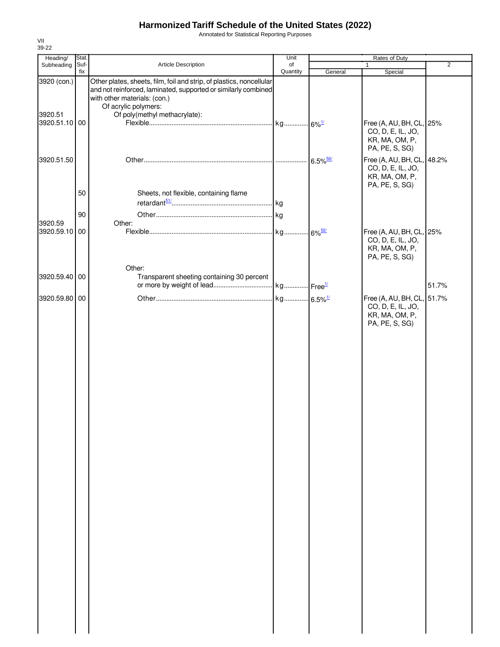Annotated for Statistical Reporting Purposes

| Heading/      | Stat.       |                                                                                                                                                                        | Unit           | Rates of Duty          |                                                                                     |                |
|---------------|-------------|------------------------------------------------------------------------------------------------------------------------------------------------------------------------|----------------|------------------------|-------------------------------------------------------------------------------------|----------------|
| Subheading    | Suf-<br>fix | Article Description                                                                                                                                                    | of<br>Quantity |                        | 1                                                                                   | $\overline{2}$ |
| 3920 (con.)   |             | Other plates, sheets, film, foil and strip, of plastics, noncellular<br>and not reinforced, laminated, supported or similarly combined<br>with other materials: (con.) |                | General                | Special                                                                             |                |
|               |             | Of acrylic polymers:                                                                                                                                                   |                |                        |                                                                                     |                |
| 3920.51       |             | Of poly(methyl methacrylate):                                                                                                                                          |                |                        |                                                                                     |                |
| 3920.51.10 00 |             |                                                                                                                                                                        |                |                        | Free (A, AU, BH, CL, 25%<br>CO, D, E, IL, JO,<br>KR, MA, OM, P,<br>PA, PE, S, SG)   |                |
| 3920.51.50    |             |                                                                                                                                                                        |                | $6.5\%$ <sup>50/</sup> | Free (A, AU, BH, CL, 48.2%<br>CO, D, E, IL, JO,<br>KR, MA, OM, P,<br>PA, PE, S, SG) |                |
|               | 50          | Sheets, not flexible, containing flame                                                                                                                                 |                |                        |                                                                                     |                |
|               |             |                                                                                                                                                                        |                |                        |                                                                                     |                |
|               | 90          |                                                                                                                                                                        |                |                        |                                                                                     |                |
| 3920.59       |             | Other:                                                                                                                                                                 |                |                        |                                                                                     |                |
| 3920.59.10 00 |             |                                                                                                                                                                        |                |                        | Free (A, AU, BH, CL, 25%<br>CO, D, E, IL, JO,<br>KR, MA, OM, P,<br>PA, PE, S, SG)   |                |
|               |             | Other:                                                                                                                                                                 |                |                        |                                                                                     |                |
| 3920.59.40 00 |             | Transparent sheeting containing 30 percent                                                                                                                             |                |                        |                                                                                     |                |
|               |             |                                                                                                                                                                        |                |                        |                                                                                     | 51.7%          |
| 3920.59.80 00 |             |                                                                                                                                                                        |                |                        | Free (A, AU, BH, CL, 51.7%<br>CO, D, E, IL, JO,<br>KR, MA, OM, P,<br>PA, PE, S, SG) |                |
|               |             |                                                                                                                                                                        |                |                        |                                                                                     |                |
|               |             |                                                                                                                                                                        |                |                        |                                                                                     |                |
|               |             |                                                                                                                                                                        |                |                        |                                                                                     |                |
|               |             |                                                                                                                                                                        |                |                        |                                                                                     |                |
|               |             |                                                                                                                                                                        |                |                        |                                                                                     |                |
|               |             |                                                                                                                                                                        |                |                        |                                                                                     |                |
|               |             |                                                                                                                                                                        |                |                        |                                                                                     |                |
|               |             |                                                                                                                                                                        |                |                        |                                                                                     |                |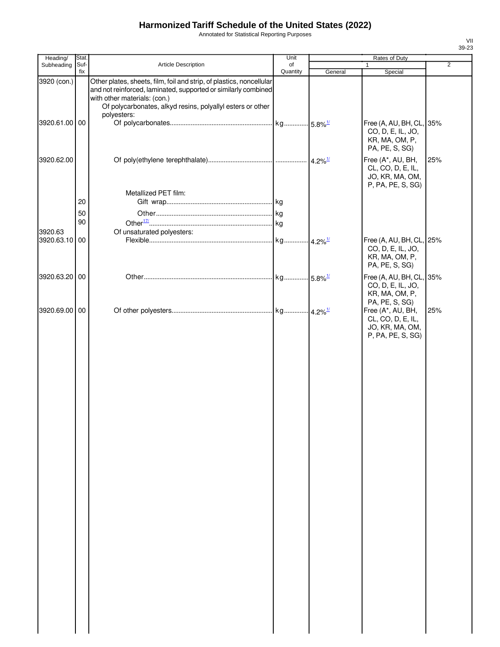Annotated for Statistical Reporting Purposes

| Heading/                     | Stat.       |                                                                                                                                                                                                                                                     | Unit           |         | Rates of Duty                                                                                    |                |
|------------------------------|-------------|-----------------------------------------------------------------------------------------------------------------------------------------------------------------------------------------------------------------------------------------------------|----------------|---------|--------------------------------------------------------------------------------------------------|----------------|
| Subheading                   | Suf-<br>fix | Article Description                                                                                                                                                                                                                                 | of<br>Quantity |         | $\mathbf{1}$                                                                                     | $\overline{2}$ |
| 3920 (con.)<br>3920.61.00 00 |             | Other plates, sheets, film, foil and strip, of plastics, noncellular<br>and not reinforced, laminated, supported or similarly combined<br>with other materials: (con.)<br>Of polycarbonates, alkyd resins, polyallyl esters or other<br>polyesters: |                | General | Special<br>Free (A, AU, BH, CL, 35%                                                              |                |
|                              |             |                                                                                                                                                                                                                                                     |                |         | CO, D, E, IL, JO,<br>KR, MA, OM, P,<br>PA, PE, S, SG)                                            |                |
| 3920.62.00                   |             |                                                                                                                                                                                                                                                     |                |         | Free (A*, AU, BH,<br>CL, CO, D, E, IL,<br>JO, KR, MA, OM,<br>P, PA, PE, S, SG)                   | 25%            |
|                              |             | Metallized PET film:                                                                                                                                                                                                                                |                |         |                                                                                                  |                |
|                              | 20          |                                                                                                                                                                                                                                                     |                |         |                                                                                                  |                |
|                              | 50          |                                                                                                                                                                                                                                                     |                |         |                                                                                                  |                |
|                              | 90          |                                                                                                                                                                                                                                                     |                |         |                                                                                                  |                |
| 3920.63                      |             | Of unsaturated polyesters:                                                                                                                                                                                                                          |                |         |                                                                                                  |                |
| 3920.63.10                   | 00          |                                                                                                                                                                                                                                                     |                |         | Free (A, AU, BH, CL, 25%<br>CO, D, E, IL, JO,<br>KR, MA, OM, P,<br>PA, PE, S, SG)                |                |
| 3920.63.20 00                |             |                                                                                                                                                                                                                                                     |                |         | Free (A, AU, BH, CL, 35%<br>CO, D, E, IL, JO,<br>KR, MA, OM, P,                                  |                |
| 3920.69.00                   | 00          |                                                                                                                                                                                                                                                     |                |         | PA, PE, S, SG)<br>Free (A*, AU, BH,<br>CL, CO, D, E, IL,<br>JO, KR, MA, OM,<br>P, PA, PE, S, SG) | 25%            |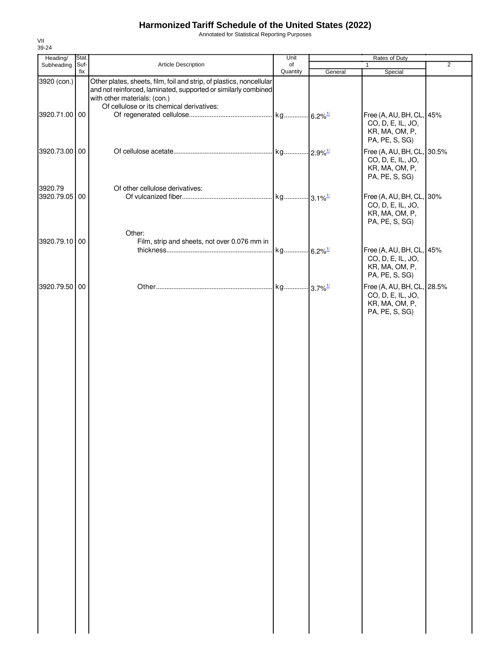Annotated for Statistical Reporting Purposes

| Heading/                 | Stat. |                                                                                                                                                                        | Unit     | Rates of Duty |                                                                                     |                |
|--------------------------|-------|------------------------------------------------------------------------------------------------------------------------------------------------------------------------|----------|---------------|-------------------------------------------------------------------------------------|----------------|
| Subheading               | Suf-  | Article Description                                                                                                                                                    | of       |               | 1                                                                                   | $\overline{2}$ |
| 3920 (con.)              | fix   | Other plates, sheets, film, foil and strip, of plastics, noncellular<br>and not reinforced, laminated, supported or similarly combined<br>with other materials: (con.) | Quantity | General       | Special                                                                             |                |
| 3920.71.00 00            |       | Of cellulose or its chemical derivatives:                                                                                                                              |          |               | Free (A, AU, BH, CL, 45%<br>CO, D, E, IL, JO,<br>KR, MA, OM, P,<br>PA, PE, S, SG)   |                |
| 3920.73.00 00            |       |                                                                                                                                                                        |          |               | Free (A, AU, BH, CL, 30.5%<br>CO, D, E, IL, JO,<br>KR, MA, OM, P,<br>PA, PE, S, SG) |                |
| 3920.79<br>3920.79.05 00 |       | Of other cellulose derivatives:                                                                                                                                        |          |               | Free (A, AU, BH, CL, 30%<br>CO, D, E, IL, JO,<br>KR, MA, OM, P,<br>PA, PE, S, SG)   |                |
| 3920.79.10 00            |       | Other:<br>Film, strip and sheets, not over 0.076 mm in                                                                                                                 |          |               | Free (A, AU, BH, CL, 45%<br>CO, D, E, IL, JO,<br>KR, MA, OM, P,<br>PA, PE, S, SG)   |                |
| 3920.79.50 00            |       |                                                                                                                                                                        |          |               | Free (A, AU, BH, CL, 28.5%<br>CO, D, E, IL, JO,<br>KR, MA, OM, P,<br>PA, PE, S, SG) |                |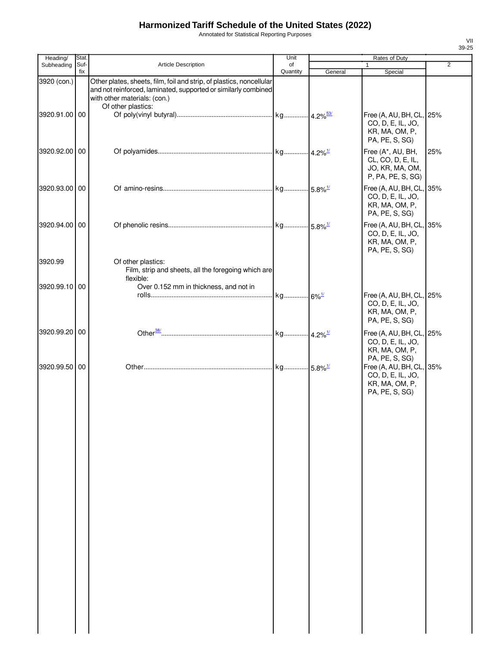Annotated for Statistical Reporting Purposes

| Heading/      | Stat. |                                                                                                                                                                        | Unit                |         | Rates of Duty                                                                     |                |
|---------------|-------|------------------------------------------------------------------------------------------------------------------------------------------------------------------------|---------------------|---------|-----------------------------------------------------------------------------------|----------------|
| Subheading    | Suf-  | <b>Article Description</b>                                                                                                                                             | of                  |         | 1                                                                                 | $\overline{2}$ |
| 3920 (con.)   | fix   | Other plates, sheets, film, foil and strip, of plastics, noncellular<br>and not reinforced, laminated, supported or similarly combined<br>with other materials: (con.) | Quantity            | General | Special                                                                           |                |
| 3920.91.00 00 |       | Of other plastics:                                                                                                                                                     |                     |         | Free (A, AU, BH, CL, 25%<br>CO, D, E, IL, JO,<br>KR, MA, OM, P,<br>PA, PE, S, SG) |                |
| 3920.92.00 00 |       |                                                                                                                                                                        |                     |         | Free (A*, AU, BH,<br>CL, CO, D, E, IL,<br>JO, KR, MA, OM,<br>P, PA, PE, S, SG)    | 25%            |
| 3920.93.00 00 |       |                                                                                                                                                                        |                     |         | Free (A, AU, BH, CL, 35%<br>CO, D, E, IL, JO,<br>KR, MA, OM, P,<br>PA, PE, S, SG) |                |
| 3920.94.00 00 |       |                                                                                                                                                                        |                     |         | Free (A, AU, BH, CL, 35%<br>CO, D, E, IL, JO,<br>KR, MA, OM, P,<br>PA, PE, S, SG) |                |
| 3920.99       |       | Of other plastics:<br>Film, strip and sheets, all the foregoing which are<br>flexible:                                                                                 |                     |         |                                                                                   |                |
| 3920.99.10 00 |       | Over 0.152 mm in thickness, and not in                                                                                                                                 | kg 6% <sup>1/</sup> |         | Free (A, AU, BH, CL, 25%<br>CO, D, E, IL, JO,<br>KR, MA, OM, P,<br>PA, PE, S, SG) |                |
| 3920.99.20 00 |       |                                                                                                                                                                        |                     |         | Free (A, AU, BH, CL, 25%<br>CO, D, E, IL, JO,<br>KR, MA, OM, P,<br>PA, PE, S, SG) |                |
| 3920.99.50 00 |       |                                                                                                                                                                        |                     |         | Free (A, AU, BH, CL, 35%<br>CO, D, E, IL, JO,<br>KR, MA, OM, P,<br>PA, PE, S, SG) |                |
|               |       |                                                                                                                                                                        |                     |         |                                                                                   |                |
|               |       |                                                                                                                                                                        |                     |         |                                                                                   |                |
|               |       |                                                                                                                                                                        |                     |         |                                                                                   |                |
|               |       |                                                                                                                                                                        |                     |         |                                                                                   |                |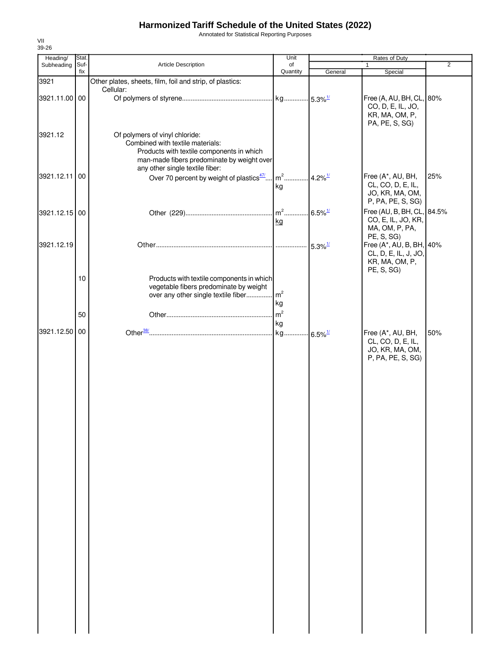Annotated for Statistical Reporting Purposes

| Heading/      | Stat.       |                                                                                                                                                               | Unit                 |                       | Rates of Duty                                                                     |                |
|---------------|-------------|---------------------------------------------------------------------------------------------------------------------------------------------------------------|----------------------|-----------------------|-----------------------------------------------------------------------------------|----------------|
| Subheading    | Suf-<br>fix | Article Description                                                                                                                                           | of<br>Quantity       | General               | $\mathbf{1}$<br>Special                                                           | $\overline{2}$ |
| 3921          |             | Other plates, sheets, film, foil and strip, of plastics:                                                                                                      |                      |                       |                                                                                   |                |
|               |             | Cellular:                                                                                                                                                     |                      |                       |                                                                                   |                |
| 3921.11.00 00 |             |                                                                                                                                                               |                      |                       | Free (A, AU, BH, CL, 80%<br>CO, D, E, IL, JO,<br>KR, MA, OM, P,<br>PA, PE, S, SG) |                |
| 3921.12       |             | Of polymers of vinyl chloride:<br>Combined with textile materials:<br>Products with textile components in which<br>man-made fibers predominate by weight over |                      |                       |                                                                                   |                |
| 3921.12.11    | 00          | any other single textile fiber:                                                                                                                               |                      |                       | Free (A*, AU, BH,                                                                 | 25%            |
|               |             | Over 70 percent by weight of plastics <sup>47/</sup>                                                                                                          | $m2$<br>kg           | $4.2\%$ <sup>1/</sup> | CL, CO, D, E, IL,<br>JO, KR, MA, OM,<br>P, PA, PE, S, SG)                         |                |
| 3921.12.15 00 |             |                                                                                                                                                               | $m^2$<br>kg          | $6.5\%$ <sup>1/</sup> | Free (AU, B, BH, CL, 84.5%<br>CO, E, IL, JO, KR,<br>MA, OM, P, PA,<br>PE, S, SG)  |                |
| 3921.12.19    |             |                                                                                                                                                               | .                    | $5.3\%$ <sup>1/</sup> | Free (A*, AU, B, BH, 40%<br>CL, D, E, IL, J, JO,<br>KR, MA, OM, P,<br>PE, S, SG)  |                |
|               | 10          | Products with textile components in which<br>vegetable fibers predominate by weight<br>over any other single textile fiber                                    | m <sup>2</sup><br>kg |                       |                                                                                   |                |
|               | 50          |                                                                                                                                                               | m <sup>2</sup>       |                       |                                                                                   |                |
|               |             |                                                                                                                                                               | kg                   |                       |                                                                                   |                |
| 3921.12.50 00 |             |                                                                                                                                                               | kg                   | $6.5\%$ <sup>1/</sup> | Free (A*, AU, BH,<br>CL, CO, D, E, IL,<br>JO, KR, MA, OM,                         | 50%            |
|               |             |                                                                                                                                                               |                      |                       | P, PA, PE, S, SG)                                                                 |                |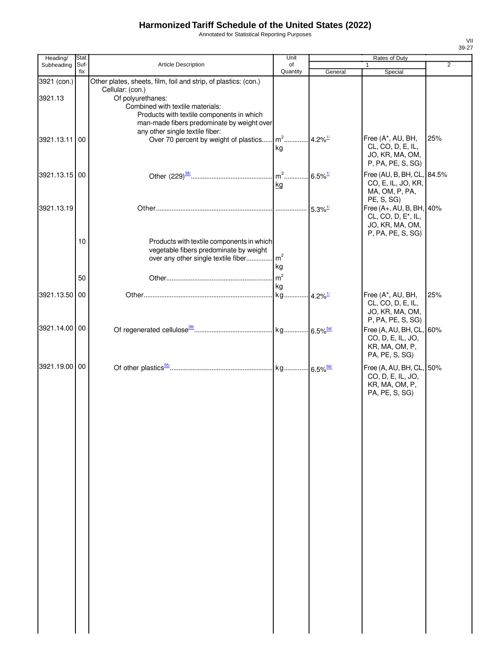Annotated for Statistical Reporting Purposes

| Heading/      | Stat.       |                                                                 | Unit                     |                       | Rates of Duty                       |     |
|---------------|-------------|-----------------------------------------------------------------|--------------------------|-----------------------|-------------------------------------|-----|
| Subheading    | Suf-<br>fix | <b>Article Description</b>                                      | of<br>Quantity           | General               | 1<br>Special                        | 2   |
| 3921 (con.)   |             | Other plates, sheets, film, foil and strip, of plastics: (con.) |                          |                       |                                     |     |
|               |             | Cellular: (con.)                                                |                          |                       |                                     |     |
| 3921.13       |             | Of polyurethanes:                                               |                          |                       |                                     |     |
|               |             | Combined with textile materials:                                |                          |                       |                                     |     |
|               |             | Products with textile components in which                       |                          |                       |                                     |     |
|               |             | man-made fibers predominate by weight over                      |                          |                       |                                     |     |
|               |             | any other single textile fiber:                                 | $m^2$ 4.2% <sup>1/</sup> |                       | Free (A*, AU, BH,                   | 25% |
| 3921.13.11 00 |             | Over 70 percent by weight of plastics                           | ka                       |                       | CL, CO, D, E, IL,                   |     |
|               |             |                                                                 |                          |                       | JO, KR, MA, OM,                     |     |
|               |             |                                                                 |                          |                       | P, PA, PE, S, SG)                   |     |
| 3921.13.15 00 |             |                                                                 |                          |                       | Free (AU, B, BH, CL, 84.5%          |     |
|               |             |                                                                 | kg                       |                       | CO, E, IL, JO, KR,                  |     |
|               |             |                                                                 |                          |                       | MA, OM, P, PA,                      |     |
|               |             |                                                                 |                          |                       | PE, S, SG)                          |     |
| 3921.13.19    |             |                                                                 |                          | $5.3\%$ <sup>1/</sup> | Free (A+, AU, B, BH, 40%            |     |
|               |             |                                                                 |                          |                       | CL, CO, D, E <sup>*</sup> , IL,     |     |
|               |             |                                                                 |                          |                       | JO, KR, MA, OM,                     |     |
|               | 10          | Products with textile components in which                       |                          |                       | P, PA, PE, S, SG)                   |     |
|               |             | vegetable fibers predominate by weight                          |                          |                       |                                     |     |
|               |             | over any other single textile fiber                             | m <sup>2</sup>           |                       |                                     |     |
|               |             |                                                                 | kg                       |                       |                                     |     |
|               | 50          |                                                                 | m <sup>2</sup>           |                       |                                     |     |
|               |             |                                                                 | kg                       |                       |                                     |     |
| 3921.13.50 00 |             |                                                                 |                          |                       | Free (A*, AU, BH,                   | 25% |
|               |             |                                                                 |                          |                       | CL, CO, D, E, IL,                   |     |
|               |             |                                                                 |                          |                       | JO, KR, MA, OM,                     |     |
| 3921.14.00 00 |             |                                                                 |                          |                       | P, PA, PE, S, SG)                   |     |
|               |             |                                                                 |                          |                       | Free (A, AU, BH, CL, 60%            |     |
|               |             |                                                                 |                          |                       | CO, D, E, IL, JO,<br>KR, MA, OM, P, |     |
|               |             |                                                                 |                          |                       | PA, PE, S, SG)                      |     |
| 3921.19.00 00 |             |                                                                 |                          |                       |                                     |     |
|               |             |                                                                 |                          |                       | Free (A, AU, BH, CL, 50%            |     |
|               |             |                                                                 |                          |                       | CO, D, E, IL, JO,<br>KR, MA, OM, P, |     |
|               |             |                                                                 |                          |                       | PA, PE, S, SG)                      |     |
|               |             |                                                                 |                          |                       |                                     |     |
|               |             |                                                                 |                          |                       |                                     |     |
|               |             |                                                                 |                          |                       |                                     |     |
|               |             |                                                                 |                          |                       |                                     |     |
|               |             |                                                                 |                          |                       |                                     |     |
|               |             |                                                                 |                          |                       |                                     |     |
|               |             |                                                                 |                          |                       |                                     |     |
|               |             |                                                                 |                          |                       |                                     |     |
|               |             |                                                                 |                          |                       |                                     |     |
|               |             |                                                                 |                          |                       |                                     |     |
|               |             |                                                                 |                          |                       |                                     |     |
|               |             |                                                                 |                          |                       |                                     |     |
|               |             |                                                                 |                          |                       |                                     |     |
|               |             |                                                                 |                          |                       |                                     |     |
|               |             |                                                                 |                          |                       |                                     |     |
|               |             |                                                                 |                          |                       |                                     |     |
|               |             |                                                                 |                          |                       |                                     |     |
|               |             |                                                                 |                          |                       |                                     |     |
|               |             |                                                                 |                          |                       |                                     |     |
|               |             |                                                                 |                          |                       |                                     |     |
|               |             |                                                                 |                          |                       |                                     |     |
|               |             |                                                                 |                          |                       |                                     |     |
|               |             |                                                                 |                          |                       |                                     |     |
|               |             |                                                                 |                          |                       |                                     |     |
|               |             |                                                                 |                          |                       |                                     |     |
|               |             |                                                                 |                          |                       |                                     |     |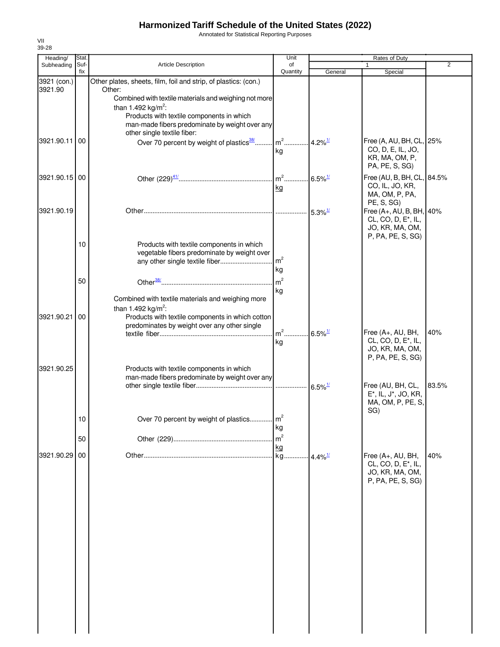Annotated for Statistical Reporting Purposes

| Heading/               | Stat.       |                                                                                                                                                                                         | Unit                                    | <b>Rates of Duty</b>   |                                                                                                     |                |  |
|------------------------|-------------|-----------------------------------------------------------------------------------------------------------------------------------------------------------------------------------------|-----------------------------------------|------------------------|-----------------------------------------------------------------------------------------------------|----------------|--|
| Subheading             | Suf-<br>fix | Article Description                                                                                                                                                                     | of<br>Quantity                          | General                | 1<br>Special                                                                                        | $\overline{2}$ |  |
| 3921 (con.)<br>3921.90 |             | Other plates, sheets, film, foil and strip, of plastics: (con.)<br>Other:                                                                                                               |                                         |                        |                                                                                                     |                |  |
|                        |             | Combined with textile materials and weighing not more<br>than 1.492 kg/m <sup>2</sup> :<br>Products with textile components in which                                                    |                                         |                        |                                                                                                     |                |  |
| 3921.90.11 00          |             | man-made fibers predominate by weight over any<br>other single textile fiber:<br>Over 70 percent by weight of plastics <sup>38/</sup>                                                   | $m2$                                    | $.4.2\%$ <sup>1/</sup> | Free (A, AU, BH, CL, 25%                                                                            |                |  |
|                        |             |                                                                                                                                                                                         | kg                                      |                        | CO, D, E, IL, JO,<br>KR, MA, OM, P,<br>PA, PE, S, SG)                                               |                |  |
| 3921.90.15 00          |             |                                                                                                                                                                                         | m <sup>2</sup> 6.5% <sup>1/</sup><br>kg |                        | Free (AU, B, BH, CL, 84.5%<br>CO, IL, JO, KR,<br>MA, OM, P, PA,<br>PE, S, SG)                       |                |  |
| 3921.90.19             |             |                                                                                                                                                                                         |                                         | $5.3\%$ <sup>1/</sup>  | Free (A+, AU, B, BH, 40%<br>CL, CO, D, E <sup>*</sup> , IL,<br>JO, KR, MA, OM,<br>P, PA, PE, S, SG) |                |  |
|                        | 10          | Products with textile components in which<br>vegetable fibers predominate by weight over<br>any other single textile fiber                                                              | m <sup>2</sup><br>kg                    |                        |                                                                                                     |                |  |
|                        | 50          |                                                                                                                                                                                         | m <sup>2</sup><br>kg                    |                        |                                                                                                     |                |  |
| 3921.90.21             | 00          | Combined with textile materials and weighing more<br>than 1.492 kg/m <sup>2</sup> :<br>Products with textile components in which cotton<br>predominates by weight over any other single |                                         |                        |                                                                                                     |                |  |
|                        |             |                                                                                                                                                                                         | m <sup>2</sup> 6.5% <sup>1/</sup><br>kg |                        | Free (A+, AU, BH,<br>CL, CO, D, E <sup>*</sup> , IL,<br>JO, KR, MA, OM,<br>P, PA, PE, S, SG)        | 40%            |  |
| 3921.90.25             |             | Products with textile components in which<br>man-made fibers predominate by weight over any                                                                                             |                                         |                        | Free (AU, BH, CL,<br>E*, IL, J*, JO, KR,<br>MA, OM, P, PE, S.                                       | 83.5%          |  |
|                        | 10          | Over 70 percent by weight of plastics                                                                                                                                                   | kg                                      |                        | SG)                                                                                                 |                |  |
|                        | 50          |                                                                                                                                                                                         | m <sup>2</sup><br>kg                    |                        |                                                                                                     |                |  |
| 3921.90.29             | 00          |                                                                                                                                                                                         | kg                                      | $-4.4\%$ <sup>1/</sup> | Free (A+, AU, BH,<br>CL, CO, D, E*, IL,<br>JO, KR, MA, OM,<br>P, PA, PE, S, SG)                     | 40%            |  |
|                        |             |                                                                                                                                                                                         |                                         |                        |                                                                                                     |                |  |
|                        |             |                                                                                                                                                                                         |                                         |                        |                                                                                                     |                |  |
|                        |             |                                                                                                                                                                                         |                                         |                        |                                                                                                     |                |  |
|                        |             |                                                                                                                                                                                         |                                         |                        |                                                                                                     |                |  |
|                        |             |                                                                                                                                                                                         |                                         |                        |                                                                                                     |                |  |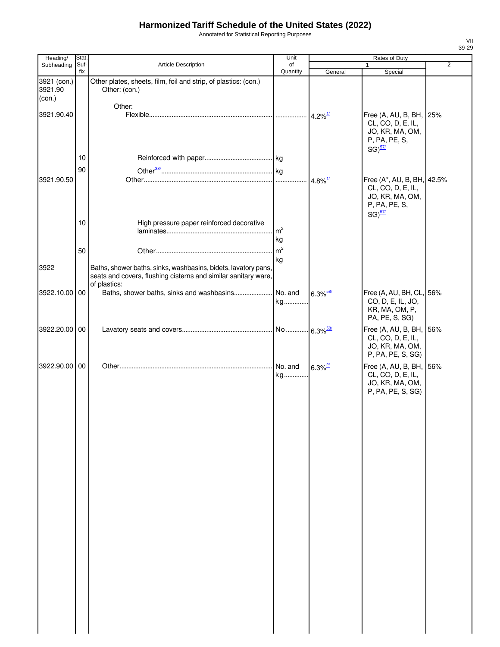Annotated for Statistical Reporting Purposes

| Heading/                         | Stat.       |                                                                                                                                                  | Unit           |                        | Rates of Duty                                                                                       |                |
|----------------------------------|-------------|--------------------------------------------------------------------------------------------------------------------------------------------------|----------------|------------------------|-----------------------------------------------------------------------------------------------------|----------------|
| Subheading                       | Suf-<br>fix | Article Description                                                                                                                              | of<br>Quantity | General                | 1<br>Special                                                                                        | $\overline{2}$ |
| 3921 (con.)<br>3921.90<br>(con.) |             | Other plates, sheets, film, foil and strip, of plastics: (con.)<br>Other: (con.)                                                                 |                |                        |                                                                                                     |                |
|                                  |             | Other:                                                                                                                                           |                |                        |                                                                                                     |                |
| 3921.90.40                       |             |                                                                                                                                                  |                | $4.2\%$ <sup>1/</sup>  | Free (A, AU, B, BH, 25%<br>CL, CO, D, E, IL,<br>JO, KR, MA, OM,<br>P, PA, PE, S,<br>$SG)^{57/2}$    |                |
|                                  | 10          |                                                                                                                                                  |                |                        |                                                                                                     |                |
|                                  | 90          |                                                                                                                                                  |                |                        |                                                                                                     |                |
| 3921.90.50                       |             |                                                                                                                                                  |                | $4.8\%$ <sup>1/</sup>  | Free (A*, AU, B, BH, 42.5%<br>CL, CO, D, E, IL,<br>JO, KR, MA, OM,<br>P, PA, PE, S,<br>$SG)^{57/2}$ |                |
|                                  | 10          | High pressure paper reinforced decorative                                                                                                        | m <sup>2</sup> |                        |                                                                                                     |                |
|                                  |             |                                                                                                                                                  | kg             |                        |                                                                                                     |                |
|                                  |             |                                                                                                                                                  | m <sup>2</sup> |                        |                                                                                                     |                |
|                                  | 50          |                                                                                                                                                  | kg             |                        |                                                                                                     |                |
| 3922                             |             | Baths, shower baths, sinks, washbasins, bidets, lavatory pans,<br>seats and covers, flushing cisterns and similar sanitary ware,<br>of plastics: |                |                        |                                                                                                     |                |
| 3922.10.00 00                    |             | Baths, shower baths, sinks and washbasins                                                                                                        | No. and<br>kg  | $6.3\%$ <sup>58/</sup> | Free (A, AU, BH, CL, 56%<br>CO, D, E, IL, JO,<br>KR, MA, OM, P,<br>PA, PE, S, SG)                   |                |
| 3922.20.00 00                    |             |                                                                                                                                                  |                |                        | Free (A, AU, B, BH, 56%<br>CL, CO, D, E, IL,<br>JO, KR, MA, OM,<br>P, PA, PE, S, SG)                |                |
| 3922.90.00 00                    |             |                                                                                                                                                  | No. and<br>kg  | $6.3\%$ <sup>2/</sup>  | Free (A, AU, B, BH, 56%<br>CL, CO, D, E, IL,<br>JO, KR, MA, OM,<br>P, PA, PE, S, SG)                |                |
|                                  |             |                                                                                                                                                  |                |                        |                                                                                                     |                |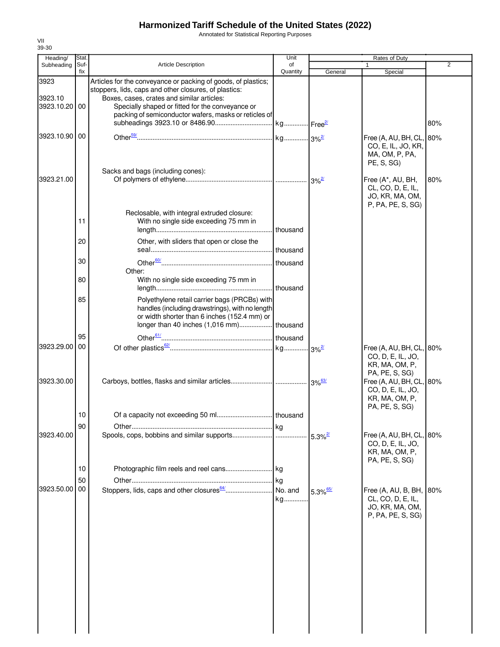Annotated for Statistical Reporting Purposes

| Heading/                         | Stat.       |                                                                                                                                                                                                                                                                                   | Unit                |                          | Rates of Duty                                                                      |                |
|----------------------------------|-------------|-----------------------------------------------------------------------------------------------------------------------------------------------------------------------------------------------------------------------------------------------------------------------------------|---------------------|--------------------------|------------------------------------------------------------------------------------|----------------|
| Subheading                       | Suf-<br>fix | <b>Article Description</b>                                                                                                                                                                                                                                                        | of<br>Quantity      | General                  | 1<br>Special                                                                       | $\overline{2}$ |
| 3923<br>3923.10<br>3923.10.20 00 |             | Articles for the conveyance or packing of goods, of plastics;<br>stoppers, lids, caps and other closures, of plastics:<br>Boxes, cases, crates and similar articles:<br>Specially shaped or fitted for the conveyance or<br>packing of semiconductor wafers, masks or reticles of |                     |                          |                                                                                    | 80%            |
| 3923.10.90 00                    |             |                                                                                                                                                                                                                                                                                   |                     |                          | Free (A, AU, BH, CL,<br>CO, E, IL, JO, KR,<br>MA, OM, P, PA,<br>PE, S, SG)         | 80%            |
| 3923.21.00                       |             | Sacks and bags (including cones):                                                                                                                                                                                                                                                 |                     | $. \, 3\%$ <sup>2/</sup> | Free (A*, AU, BH,<br>CL, CO, D, E, IL,<br>JO, KR, MA, OM,<br>P, PA, PE, S, SG)     | 80%            |
|                                  | 11          | Reclosable, with integral extruded closure:<br>With no single side exceeding 75 mm in                                                                                                                                                                                             | thousand            |                          |                                                                                    |                |
|                                  | 20          | Other, with sliders that open or close the                                                                                                                                                                                                                                        |                     |                          |                                                                                    |                |
|                                  | 30          | Other:                                                                                                                                                                                                                                                                            |                     |                          |                                                                                    |                |
|                                  | 80          | With no single side exceeding 75 mm in                                                                                                                                                                                                                                            | thousand            |                          |                                                                                    |                |
|                                  | 85          | Polyethylene retail carrier bags (PRCBs) with<br>handles (including drawstrings), with no length<br>or width shorter than 6 inches (152.4 mm) or                                                                                                                                  |                     |                          |                                                                                    |                |
|                                  | 95          |                                                                                                                                                                                                                                                                                   |                     |                          |                                                                                    |                |
| 3923.29.00 00                    |             |                                                                                                                                                                                                                                                                                   |                     |                          | Free (A, AU, BH, CL, 80%<br>CO, D, E, IL, JO,<br>KR, MA, OM, P,<br>PA, PE, S, SG)  |                |
| 3923.30.00                       |             |                                                                                                                                                                                                                                                                                   |                     |                          | Free (A, AU, BH, CL, 80%<br>CO, D, E, IL, JO,<br>KR, MA, OM, P,<br>PA, PE, S, SG)  |                |
|                                  | 10          |                                                                                                                                                                                                                                                                                   |                     |                          |                                                                                    |                |
| 3923.40.00                       | 90          | Spools, cops, bobbins and similar supports                                                                                                                                                                                                                                        |                     | $5.3\%$ <sup>2/</sup>    | Free (A, AU, BH, CL, 80%<br>CO, D, E, IL, JO,<br>KR, MA, OM, P,                    |                |
|                                  | 10          |                                                                                                                                                                                                                                                                                   |                     |                          | PA, PE, S, SG)                                                                     |                |
| 3923.50.00                       | 50<br>00    |                                                                                                                                                                                                                                                                                   | kg<br>No. and<br>kg | $5.3\%$ <sup>65/</sup>   | Free $(A, AU, B, BH,$<br>CL, CO, D, E, IL,<br>JO, KR, MA, OM,<br>P, PA, PE, S, SG) | 80%            |
|                                  |             |                                                                                                                                                                                                                                                                                   |                     |                          |                                                                                    |                |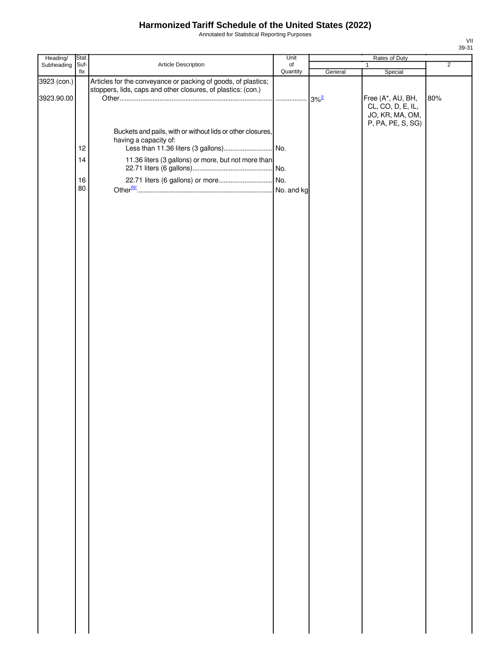Annotated for Statistical Reporting Purposes

| Heading/                  | Stat.    |                                                                                                                                            | Unit      |                                | Rates of Duty                                             |                |
|---------------------------|----------|--------------------------------------------------------------------------------------------------------------------------------------------|-----------|--------------------------------|-----------------------------------------------------------|----------------|
| Subheading                | Suf-     | Article Description                                                                                                                        | $\circ$ f |                                | $\mathbf{1}$                                              | $\overline{2}$ |
| 3923 (con.)<br>3923.90.00 | fix      | Articles for the conveyance or packing of goods, of plastics;<br>stoppers, lids, caps and other closures, of plastics: (con.)              | Quantity  | General<br>$3\%$ <sup>2/</sup> | Special<br>Free (A*, AU, BH,                              | 80%            |
|                           | 12<br>14 | Buckets and pails, with or without lids or other closures,<br>having a capacity of:<br>11.36 liters (3 gallons) or more, but not more than |           |                                | CL, CO, D, E, IL,<br>JO, KR, MA, OM,<br>P, PA, PE, S, SG) |                |
|                           | 16       |                                                                                                                                            |           |                                |                                                           |                |
|                           | 80       |                                                                                                                                            |           |                                |                                                           |                |
|                           |          |                                                                                                                                            |           |                                |                                                           |                |
|                           |          |                                                                                                                                            |           |                                |                                                           |                |
|                           |          |                                                                                                                                            |           |                                |                                                           |                |
|                           |          |                                                                                                                                            |           |                                |                                                           |                |
|                           |          |                                                                                                                                            |           |                                |                                                           |                |
|                           |          |                                                                                                                                            |           |                                |                                                           |                |
|                           |          |                                                                                                                                            |           |                                |                                                           |                |
|                           |          |                                                                                                                                            |           |                                |                                                           |                |
|                           |          |                                                                                                                                            |           |                                |                                                           |                |
|                           |          |                                                                                                                                            |           |                                |                                                           |                |
|                           |          |                                                                                                                                            |           |                                |                                                           |                |
|                           |          |                                                                                                                                            |           |                                |                                                           |                |
|                           |          |                                                                                                                                            |           |                                |                                                           |                |
|                           |          |                                                                                                                                            |           |                                |                                                           |                |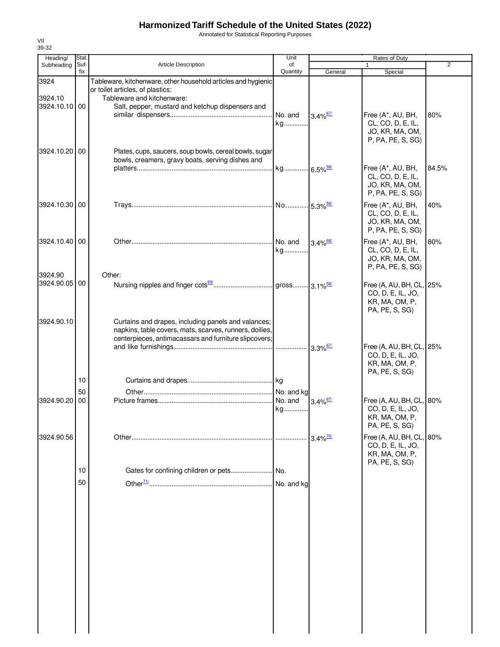Annotated for Statistical Reporting Purposes

| Heading/                         | Stat.          |                                                                                                                                                                                     | Unit                   |                        | Rates of Duty                                                                     |                |
|----------------------------------|----------------|-------------------------------------------------------------------------------------------------------------------------------------------------------------------------------------|------------------------|------------------------|-----------------------------------------------------------------------------------|----------------|
| Subheading                       | Suf-<br>fix    | <b>Article Description</b>                                                                                                                                                          | of<br>Quantity         | General                | Special                                                                           | $\overline{2}$ |
| 3924<br>3924.10<br>3924.10.10 00 |                | Tableware, kitchenware, other household articles and hygienic<br>or toilet articles, of plastics:<br>Tableware and kitchenware:<br>Salt, pepper, mustard and ketchup dispensers and |                        |                        |                                                                                   |                |
| 3924.10.20 00                    |                | Plates, cups, saucers, soup bowls, cereal bowls, sugar                                                                                                                              | No. and<br>kg          | $3.4\%$ <sup>67/</sup> | Free (A*, AU, BH,<br>CL, CO, D, E, IL,<br>JO, KR, MA, OM,<br>P, PA, PE, S, SG)    | 80%            |
|                                  |                | bowls, creamers, gravy boats, serving dishes and                                                                                                                                    | kg 6.5% <sup>58/</sup> |                        | Free (A*, AU, BH,<br>CL, CO, D, E, IL,<br>JO, KR, MA, OM,<br>P, PA, PE, S, SG)    | 84.5%          |
| 3924.10.30 00                    |                |                                                                                                                                                                                     |                        |                        | Free (A*, AU, BH,<br>CL, CO, D, E, IL,<br>JO, KR, MA, OM,<br>P, PA, PE, S, SG)    | 40%            |
| 3924.10.40 00                    |                |                                                                                                                                                                                     | No. and<br>kg          | $3.4\%$ <sup>68/</sup> | Free (A*, AU, BH,<br>CL, CO, D, E, IL,<br>JO, KR, MA, OM,<br>P, PA, PE, S, SG)    | 80%            |
| 3924.90<br>3924.90.05 00         |                | Other:                                                                                                                                                                              |                        |                        | Free (A, AU, BH, CL, 25%<br>CO, D, E, IL, JO,<br>KR, MA, OM, P,<br>PA, PE, S, SG) |                |
| 3924.90.10                       |                | Curtains and drapes, including panels and valances;<br>napkins, table covers, mats, scarves, runners, doilies,<br>centerpieces, antimacassars and furniture slipcovers;             |                        | $3.3\%$ <sup>67/</sup> | Free (A, AU, BH, CL, 25%<br>CO, D, E, IL, JO,<br>KR, MA, OM, P,                   |                |
| 3924.90.20                       | 10<br>50<br>00 |                                                                                                                                                                                     | No. and kg<br>No. and  | $3.4\%$ <sup>67/</sup> | PA, PE, S, SG)<br>Free (A, AU, BH, CL, 80%                                        |                |
|                                  |                |                                                                                                                                                                                     | kg                     |                        | CO, D, E, IL, JO,<br>KR, MA, OM, P,<br>PA, PE, S, SG)                             |                |
| 3924.90.56                       |                |                                                                                                                                                                                     |                        | $3.4\%$ <sup>70/</sup> | Free (A, AU, BH, CL, 80%<br>CO, D, E, IL, JO,<br>KR, MA, OM, P,<br>PA, PE, S, SG) |                |
|                                  | 10<br>50       | Gates for confining children or pets                                                                                                                                                | No.<br>No. and kg      |                        |                                                                                   |                |

VII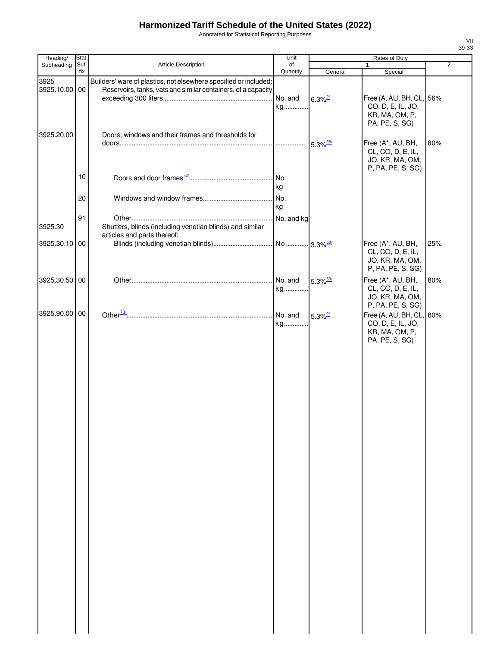Annotated for Statistical Reporting Purposes

| Heading/              | Stat.       |                                                                                                                                   | Unit           |                        | Rates of Duty                                                                     |     |
|-----------------------|-------------|-----------------------------------------------------------------------------------------------------------------------------------|----------------|------------------------|-----------------------------------------------------------------------------------|-----|
| Subheading            | Suf-<br>fix | Article Description                                                                                                               | of<br>Quantity | General                | $\mathbf{1}$<br>Special                                                           | 2   |
| 3925<br>3925.10.00 00 |             | Builders' ware of plastics, not elsewhere specified or included:<br>Reservoirs, tanks, vats and similar containers, of a capacity | No. and<br>kg  | $6.3\%$ <sup>2/</sup>  | Free (A, AU, BH, CL, 56%<br>CO, D, E, IL, JO,<br>KR, MA, OM, P,<br>PA, PE, S, SG) |     |
| 3925.20.00            |             | Doors, windows and their frames and thresholds for                                                                                |                |                        | Free (A*, AU, BH,<br>CL, CO, D, E, IL,<br>JO, KR, MA, OM,<br>P, PA, PE, S, SG)    | 80% |
|                       | 10          |                                                                                                                                   | No.<br>ka      |                        |                                                                                   |     |
|                       | 20          |                                                                                                                                   | No.<br>kg      |                        |                                                                                   |     |
| 3925.30               | 91          | Shutters, blinds (including venetian blinds) and similar<br>articles and parts thereof:                                           |                |                        |                                                                                   |     |
| 3925.30.10 00         |             |                                                                                                                                   |                |                        | Free (A*, AU, BH,<br>CL, CO, D, E, IL,<br>JO, KR, MA, OM,<br>P, PA, PE, S, SG)    | 25% |
| 3925.30.50 00         |             |                                                                                                                                   | kg             | $5.3\%$ <sup>58/</sup> | Free (A*, AU, BH,<br>CL, CO, D, E, IL,<br>JO, KR, MA, OM,<br>P, PA, PE, S, SG)    | 80% |
| 3925.90.00 00         |             |                                                                                                                                   | No. and<br>kg  | $5.3\%$ <sup>2/</sup>  | Free (A, AU, BH, CL, 80%<br>CO, D, E, IL, JO,<br>KR, MA, OM, P,<br>PA, PE, S, SG) |     |
|                       |             |                                                                                                                                   |                |                        |                                                                                   |     |
|                       |             |                                                                                                                                   |                |                        |                                                                                   |     |
|                       |             |                                                                                                                                   |                |                        |                                                                                   |     |
|                       |             |                                                                                                                                   |                |                        |                                                                                   |     |
|                       |             |                                                                                                                                   |                |                        |                                                                                   |     |
|                       |             |                                                                                                                                   |                |                        |                                                                                   |     |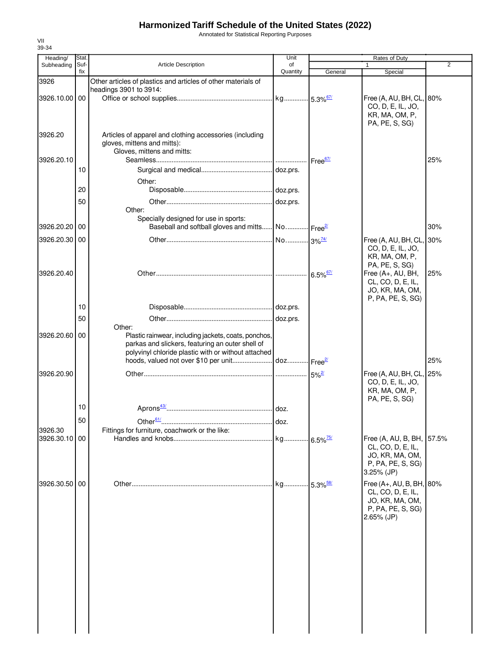Annotated for Statistical Reporting Purposes

| Heading/      | Stat. |                                                                                                          | Unit                  |                         | Rates of Duty                             |                |
|---------------|-------|----------------------------------------------------------------------------------------------------------|-----------------------|-------------------------|-------------------------------------------|----------------|
| Subheading    | Suf-  | <b>Article Description</b>                                                                               | of                    |                         | 1                                         | $\overline{2}$ |
|               | fix   |                                                                                                          | Quantity              | General                 | Special                                   |                |
| 3926          |       | Other articles of plastics and articles of other materials of<br>headings 3901 to 3914:                  |                       |                         |                                           |                |
| 3926.10.00 00 |       |                                                                                                          |                       |                         | Free (A, AU, BH, CL, 80%                  |                |
|               |       |                                                                                                          |                       |                         | CO, D, E, IL, JO,                         |                |
|               |       |                                                                                                          |                       |                         | KR, MA, OM, P,                            |                |
|               |       |                                                                                                          |                       |                         | PA, PE, S, SG)                            |                |
| 3926.20       |       | Articles of apparel and clothing accessories (including                                                  |                       |                         |                                           |                |
|               |       | gloves, mittens and mitts):                                                                              |                       |                         |                                           |                |
|               |       | Gloves, mittens and mitts:                                                                               |                       |                         |                                           |                |
| 3926.20.10    |       |                                                                                                          |                       | Free <sup>67/</sup>     |                                           | 25%            |
|               | 10    |                                                                                                          |                       |                         |                                           |                |
|               |       | Other:                                                                                                   |                       |                         |                                           |                |
|               | 20    |                                                                                                          |                       |                         |                                           |                |
|               | 50    |                                                                                                          | doz.prs.              |                         |                                           |                |
|               |       | Other:                                                                                                   |                       |                         |                                           |                |
|               |       | Specially designed for use in sports:                                                                    |                       |                         |                                           |                |
| 3926.20.20 00 |       | Baseball and softball gloves and mitts                                                                   | No Free <sup>2/</sup> |                         |                                           | 30%            |
| 3926.20.30 00 |       |                                                                                                          | No 3% <sup>74/</sup>  |                         | Free (A, AU, BH, CL, 30%                  |                |
|               |       |                                                                                                          |                       |                         | CO, D, E, IL, JO,                         |                |
|               |       |                                                                                                          |                       |                         | KR, MA, OM, P,                            |                |
|               |       |                                                                                                          |                       |                         | PA, PE, S, SG)                            |                |
| 3926.20.40    |       |                                                                                                          |                       | $6.5\%$ <sup>67/</sup>  | Free (A+, AU, BH,                         | 25%            |
|               |       |                                                                                                          |                       |                         | CL, CO, D, E, IL,                         |                |
|               |       |                                                                                                          |                       |                         | JO, KR, MA, OM,                           |                |
|               |       |                                                                                                          |                       |                         | P, PA, PE, S, SG)                         |                |
|               | 10    |                                                                                                          |                       |                         |                                           |                |
|               | 50    |                                                                                                          | doz.prs.              |                         |                                           |                |
|               |       | Other:                                                                                                   |                       |                         |                                           |                |
| 3926.20.60 00 |       | Plastic rainwear, including jackets, coats, ponchos,<br>parkas and slickers, featuring an outer shell of |                       |                         |                                           |                |
|               |       | polyvinyl chloride plastic with or without attached                                                      |                       |                         |                                           |                |
|               |       |                                                                                                          |                       |                         |                                           | 25%            |
|               |       |                                                                                                          |                       |                         |                                           |                |
| 3926.20.90    |       |                                                                                                          |                       | $5\%$ <sup>2/</sup>     | Free (A, AU, BH, CL,<br>CO, D, E, IL, JO, | 25%            |
|               |       |                                                                                                          |                       |                         | KR, MA, OM, P,                            |                |
|               |       |                                                                                                          |                       |                         | PA, PE, S, SG)                            |                |
|               | 10    |                                                                                                          |                       |                         |                                           |                |
|               | 50    |                                                                                                          |                       |                         |                                           |                |
| 3926.30       |       | Fittings for furniture, coachwork or the like:                                                           | I doz.                |                         |                                           |                |
| 3926.30.10 00 |       |                                                                                                          |                       | $-6.5\%$ <sup>75/</sup> | Free (A, AU, B, BH, 57.5%                 |                |
|               |       |                                                                                                          |                       |                         | CL, CO, D, E, IL,                         |                |
|               |       |                                                                                                          |                       |                         | JO, KR, MA, OM,                           |                |
|               |       |                                                                                                          |                       |                         | P, PA, PE, S, SG)                         |                |
|               |       |                                                                                                          |                       |                         | $3.25\%$ (JP)                             |                |
| 3926.30.50 00 |       |                                                                                                          |                       | $-5.3\%$ <sup>58/</sup> | Free (A+, AU, B, BH, 80%                  |                |
|               |       |                                                                                                          |                       |                         | CL, CO, D, E, IL,                         |                |
|               |       |                                                                                                          |                       |                         | JO, KR, MA, OM,                           |                |
|               |       |                                                                                                          |                       |                         | P, PA, PE, S, SG)                         |                |
|               |       |                                                                                                          |                       |                         | 2.65% (JP)                                |                |
|               |       |                                                                                                          |                       |                         |                                           |                |
|               |       |                                                                                                          |                       |                         |                                           |                |
|               |       |                                                                                                          |                       |                         |                                           |                |
|               |       |                                                                                                          |                       |                         |                                           |                |
|               |       |                                                                                                          |                       |                         |                                           |                |
|               |       |                                                                                                          |                       |                         |                                           |                |
|               |       |                                                                                                          |                       |                         |                                           |                |
|               |       |                                                                                                          |                       |                         |                                           |                |
|               |       |                                                                                                          |                       |                         |                                           |                |
|               |       |                                                                                                          |                       |                         |                                           |                |
|               |       |                                                                                                          |                       |                         |                                           |                |
|               |       |                                                                                                          |                       |                         |                                           |                |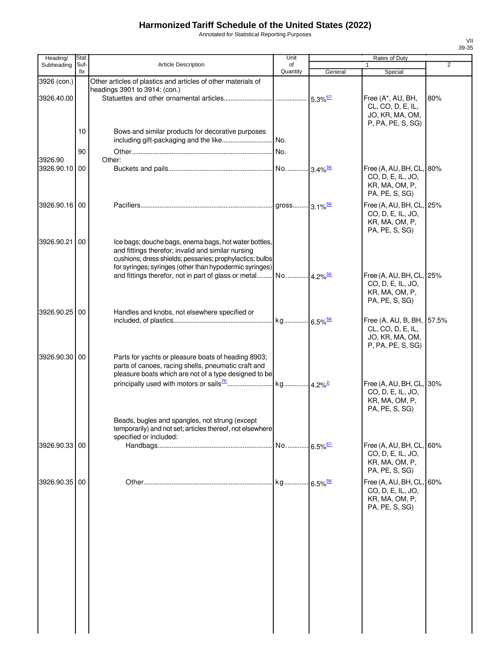Annotated for Statistical Reporting Purposes

| Heading/      | Stat. |                                                                                                                                                                                                                                    | Unit                   |                        | Rates of Duty                                                                          |                |
|---------------|-------|------------------------------------------------------------------------------------------------------------------------------------------------------------------------------------------------------------------------------------|------------------------|------------------------|----------------------------------------------------------------------------------------|----------------|
| Subheading    | Suf-  | <b>Article Description</b>                                                                                                                                                                                                         | of                     |                        | 1                                                                                      | $\overline{2}$ |
|               | fix   |                                                                                                                                                                                                                                    | Quantity               | General                | Special                                                                                |                |
| 3926 (con.)   |       | Other articles of plastics and articles of other materials of<br>headings 3901 to 3914: (con.)                                                                                                                                     |                        |                        |                                                                                        |                |
| 3926.40.00    |       |                                                                                                                                                                                                                                    |                        | $5.3\%$ <sup>67/</sup> | Free (A*, AU, BH,<br>CL, CO, D, E, IL,<br>JO, KR, MA, OM,<br>P, PA, PE, S, SG)         | 80%            |
|               | 10    | Bows and similar products for decorative purposes<br>including gift-packaging and the like                                                                                                                                         | No.                    |                        |                                                                                        |                |
|               | 90    |                                                                                                                                                                                                                                    |                        |                        |                                                                                        |                |
| 3926.90       |       | Other:                                                                                                                                                                                                                             |                        |                        |                                                                                        |                |
| 3926.90.10 00 |       |                                                                                                                                                                                                                                    |                        |                        | Free (A, AU, BH, CL,<br>CO, D, E, IL, JO,<br>KR, MA, OM, P,<br>PA, PE, S, SG)          | 80%            |
| 3926.90.16 00 |       |                                                                                                                                                                                                                                    |                        |                        | Free (A, AU, BH, CL, 25%<br>CO, D, E, IL, JO,<br>KR, MA, OM, P,<br>PA, PE, S, SG)      |                |
| 3926.90.21    | 00    | Ice bags; douche bags, enema bags, hot water bottles,<br>and fittings therefor; invalid and similar nursing<br>cushions; dress shields; pessaries; prophylactics; bulbs<br>for syringes; syringes (other than hypodermic syringes) |                        |                        |                                                                                        |                |
|               |       | and fittings therefor, not in part of glass or metal No 4.2% <sup>58/</sup>                                                                                                                                                        |                        |                        | Free (A, AU, BH, CL, 25%<br>CO, D, E, IL, JO,<br>KR, MA, OM, P,<br>PA, PE, S, SG)      |                |
| 3926.90.25 00 |       | Handles and knobs, not elsewhere specified or                                                                                                                                                                                      |                        |                        | Free (A, AU, B, BH, 57.5%<br>CL, CO, D, E, IL,<br>JO, KR, MA, OM,<br>P, PA, PE, S, SG) |                |
| 3926.90.30 00 |       | Parts for yachts or pleasure boats of heading 8903;<br>parts of canoes, racing shells, pneumatic craft and<br>pleasure boats which are not of a type designed to be                                                                |                        |                        |                                                                                        |                |
|               |       |                                                                                                                                                                                                                                    |                        |                        | Free (A, AU, BH, CL, 30%<br>CO, D, E, IL, JO,<br>KR, MA, OM, P,<br>PA, PE, S, SG)      |                |
|               |       | Beads, bugles and spangles, not strung (except<br>temporarily) and not set; articles thereof, not elsewhere<br>specified or included:                                                                                              |                        |                        |                                                                                        |                |
| 3926.90.33 00 |       |                                                                                                                                                                                                                                    | No 6.5% <sup>67/</sup> |                        | Free (A, AU, BH, CL,<br>CO, D, E, IL, JO,<br>KR, MA, OM, P,<br>PA, PE, S, SG)          | 60%            |
| 3926.90.35 00 |       |                                                                                                                                                                                                                                    |                        |                        | Free (A, AU, BH, CL,<br>CO, D, E, IL, JO,<br>KR, MA, OM, P,<br>PA, PE, S, SG)          | 60%            |
|               |       |                                                                                                                                                                                                                                    |                        |                        |                                                                                        |                |
|               |       |                                                                                                                                                                                                                                    |                        |                        |                                                                                        |                |
|               |       |                                                                                                                                                                                                                                    |                        |                        |                                                                                        |                |
|               |       |                                                                                                                                                                                                                                    |                        |                        |                                                                                        |                |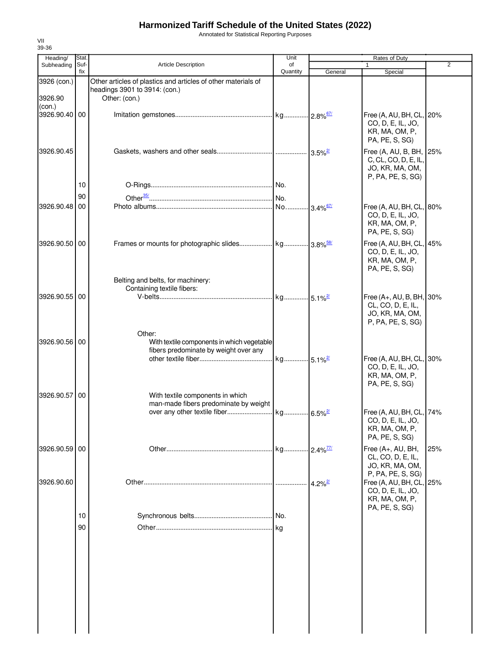Annotated for Statistical Reporting Purposes

| Heading/                         | Stat.       |                                                                                                                 | Unit           |                       | Rates of Duty                                                                                          |     |
|----------------------------------|-------------|-----------------------------------------------------------------------------------------------------------------|----------------|-----------------------|--------------------------------------------------------------------------------------------------------|-----|
| Subheading                       | Suf-<br>fix | <b>Article Description</b>                                                                                      | of<br>Quantity | General               | $\mathbf{1}$<br>Special                                                                                | 2   |
| 3926 (con.)<br>3926.90<br>(con.) |             | Other articles of plastics and articles of other materials of<br>headings 3901 to 3914: (con.)<br>Other: (con.) |                |                       |                                                                                                        |     |
| 3926.90.40 00                    |             |                                                                                                                 |                |                       | Free (A, AU, BH, CL, 20%<br>CO, D, E, IL, JO,<br>KR, MA, OM, P,<br>PA, PE, S, SG)                      |     |
| 3926.90.45                       |             |                                                                                                                 |                |                       | Free (A, AU, B, BH, 25%<br>C, CL, CO, D, E, IL,<br>JO, KR, MA, OM,<br>P, PA, PE, S, SG)                |     |
|                                  | 10          |                                                                                                                 |                |                       |                                                                                                        |     |
|                                  | 90          |                                                                                                                 |                |                       |                                                                                                        |     |
| 3926.90.48 00                    |             |                                                                                                                 |                |                       | Free (A, AU, BH, CL, 80%<br>CO, D, E, IL, JO,<br>KR, MA, OM, P,<br>PA, PE, S, SG)                      |     |
| 3926.90.50 00                    |             |                                                                                                                 |                |                       | Free (A, AU, BH, CL, 45%<br>CO, D, E, IL, JO,<br>KR, MA, OM, P,<br>PA, PE, S, SG)                      |     |
|                                  |             | Belting and belts, for machinery:                                                                               |                |                       |                                                                                                        |     |
| 3926.90.55 00                    |             | Containing textile fibers:                                                                                      |                |                       | Free (A+, AU, B, BH, 30%<br>CL, CO, D, E, IL,<br>JO, KR, MA, OM,<br>P, PA, PE, S, SG)                  |     |
| 3926.90.56 00                    |             | Other:<br>With textile components in which vegetable<br>fibers predominate by weight over any                   |                |                       | Free (A, AU, BH, CL, 30%<br>CO, D, E, IL, JO,<br>KR, MA, OM, P,                                        |     |
| 3926.90.57 00                    |             | With textile components in which<br>man-made fibers predominate by weight                                       |                |                       | PA, PE, S, SG)<br>Free (A, AU, BH, CL, 74%                                                             |     |
|                                  |             |                                                                                                                 |                |                       | CO, D, E, IL, JO,<br>KR, MA, OM, P,<br>PA, PE, S, SG)                                                  |     |
| 3926.90.59 00                    |             |                                                                                                                 |                |                       | Free (A+, AU, BH,<br>CL, CO, D, E, IL,<br>JO, KR, MA, OM,                                              | 25% |
| 3926.90.60                       |             |                                                                                                                 |                | $4.2\%$ <sup>2/</sup> | P, PA, PE, S, SG)<br>Free (A, AU, BH, CL, 25%<br>CO, D, E, IL, JO,<br>KR, MA, OM, P,<br>PA, PE, S, SG) |     |
|                                  | 10          |                                                                                                                 | No.            |                       |                                                                                                        |     |
|                                  | 90          |                                                                                                                 |                |                       |                                                                                                        |     |
|                                  |             |                                                                                                                 |                |                       |                                                                                                        |     |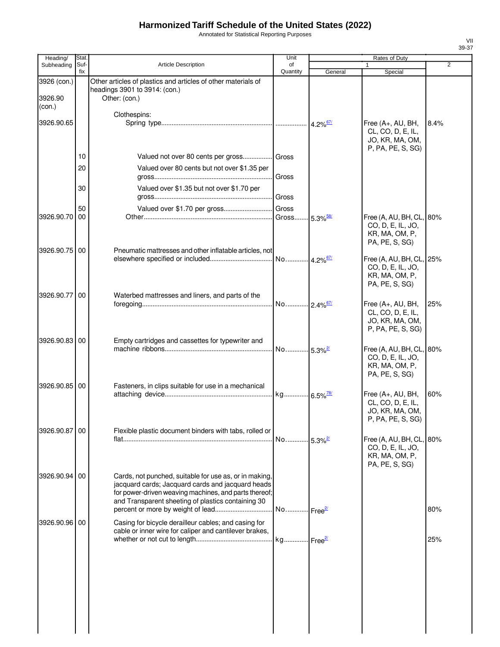Annotated for Statistical Reporting Purposes

| Heading/          | <b>Stat</b> |                                                                                                                                                                                                                            | Unit                    |                        | Rates of Duty                                                                     |                |
|-------------------|-------------|----------------------------------------------------------------------------------------------------------------------------------------------------------------------------------------------------------------------------|-------------------------|------------------------|-----------------------------------------------------------------------------------|----------------|
| Subheading        | Suf-<br>fix | <b>Article Description</b>                                                                                                                                                                                                 | of<br>Quantity          | General                | 1<br>Special                                                                      | $\overline{2}$ |
| 3926 (con.)       |             | Other articles of plastics and articles of other materials of<br>headings 3901 to 3914: (con.)                                                                                                                             |                         |                        |                                                                                   |                |
| 3926.90<br>(con.) |             | Other: (con.)                                                                                                                                                                                                              |                         |                        |                                                                                   |                |
| 3926.90.65        |             | Clothespins:                                                                                                                                                                                                               |                         | $4.2\%$ <sup>67/</sup> | Free (A+, AU, BH,<br>CL, CO, D, E, IL,<br>JO, KR, MA, OM,<br>P, PA, PE, S, SG)    | 8.4%           |
|                   | 10          | Valued not over 80 cents per gross Gross                                                                                                                                                                                   |                         |                        |                                                                                   |                |
|                   | 20          | Valued over 80 cents but not over \$1.35 per                                                                                                                                                                               | Gross                   |                        |                                                                                   |                |
|                   | 30          | Valued over \$1.35 but not over \$1.70 per                                                                                                                                                                                 | Gross                   |                        |                                                                                   |                |
|                   | 50          |                                                                                                                                                                                                                            |                         |                        |                                                                                   |                |
| 3926.90.70        | 00          |                                                                                                                                                                                                                            | Gross                   | $5.3\%$ <sup>58/</sup> | Free (A, AU, BH, CL, 80%                                                          |                |
| 3926.90.75        | 00          | Pneumatic mattresses and other inflatable articles, not                                                                                                                                                                    |                         |                        | CO, D, E, IL, JO,<br>KR, MA, OM, P,<br>PA, PE, S, SG)                             |                |
|                   |             |                                                                                                                                                                                                                            | No                      | $4.2\%$ <sup>67/</sup> | Free (A, AU, BH, CL, 25%                                                          |                |
|                   |             |                                                                                                                                                                                                                            |                         |                        | CO, D, E, IL, JO,<br>KR, MA, OM, P,<br>PA, PE, S, SG)                             |                |
| 3926.90.77        | 00          | Waterbed mattresses and liners, and parts of the                                                                                                                                                                           | No 2.4% <sup>67/</sup>  |                        |                                                                                   | 25%            |
|                   |             |                                                                                                                                                                                                                            |                         |                        | Free (A+, AU, BH,<br>CL, CO, D, E, IL,<br>JO, KR, MA, OM,<br>P, PA, PE, S, SG)    |                |
| 3926.90.83 00     |             | Empty cartridges and cassettes for typewriter and                                                                                                                                                                          |                         |                        |                                                                                   |                |
|                   |             |                                                                                                                                                                                                                            | No 5.3% <sup>2/</sup>   |                        | Free (A, AU, BH, CL, 80%<br>CO, D, E, IL, JO,<br>KR, MA, OM, P,<br>PA, PE, S, SG) |                |
| 3926.90.85 00     |             | Fasteners, in clips suitable for use in a mechanical                                                                                                                                                                       |                         |                        |                                                                                   |                |
|                   |             |                                                                                                                                                                                                                            |                         |                        | Free (A+, AU, BH,<br>CL, CO, D, E, IL,<br>JO, KR, MA, OM,<br>P, PA, PE, S, SG)    | 60%            |
| 3926.90.87 00     |             | Flexible plastic document binders with tabs, rolled or                                                                                                                                                                     |                         |                        | Free (A, AU, BH, CL, 80%                                                          |                |
|                   |             |                                                                                                                                                                                                                            | No 5.3% <sup>2/</sup>   |                        | CO, D, E, IL, JO,<br>KR, MA, OM, P,<br>PA, PE, S, SG)                             |                |
| 3926.90.94        | 00          | Cards, not punched, suitable for use as, or in making,<br>jacquard cards; Jacquard cards and jacquard heads<br>for power-driven weaving machines, and parts thereof;<br>and Transparent sheeting of plastics containing 30 | No Free <sup>27</sup>   |                        |                                                                                   | 80%            |
| 3926.90.96 00     |             | Casing for bicycle derailleur cables; and casing for                                                                                                                                                                       |                         |                        |                                                                                   |                |
|                   |             | cable or inner wire for caliper and cantilever brakes,                                                                                                                                                                     | . kg Free <sup>21</sup> |                        |                                                                                   | 25%            |
|                   |             |                                                                                                                                                                                                                            |                         |                        |                                                                                   |                |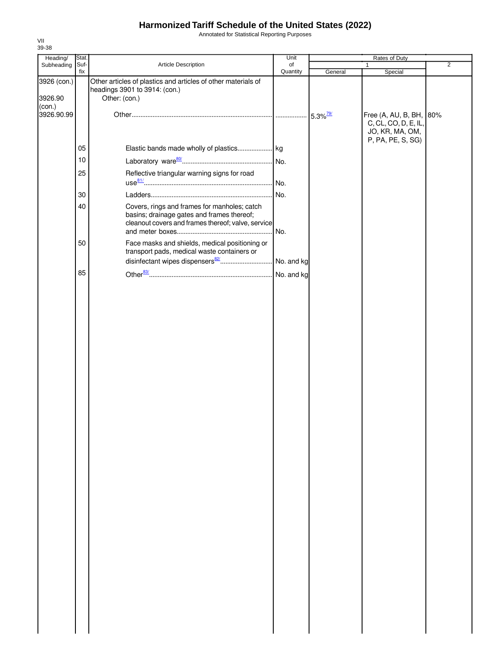Annotated for Statistical Reporting Purposes

| Heading/               | Stat. |                                                                                                                                                  | Unit       |         | Rates of Duty                                                      |                |
|------------------------|-------|--------------------------------------------------------------------------------------------------------------------------------------------------|------------|---------|--------------------------------------------------------------------|----------------|
| Subheading             | Suf-  | Article Description                                                                                                                              | of         |         |                                                                    | $\overline{2}$ |
| 3926 (con.)<br>3926.90 | fix   | Other articles of plastics and articles of other materials of<br>headings 3901 to 3914: (con.)<br>Other: (con.)                                  | Quantity   | General | Special                                                            |                |
| (con.)<br>3926.90.99   |       |                                                                                                                                                  |            |         | Free (A, AU, B, BH, 80%<br>C, CL, CO, D, E, IL,<br>JO, KR, MA, OM, |                |
|                        | 05    |                                                                                                                                                  |            |         | P, PA, PE, S, SG)                                                  |                |
|                        | 10    |                                                                                                                                                  |            |         |                                                                    |                |
|                        | 25    | Reflective triangular warning signs for road                                                                                                     |            |         |                                                                    |                |
|                        | 30    |                                                                                                                                                  | No.        |         |                                                                    |                |
|                        | 40    | Covers, rings and frames for manholes; catch<br>basins; drainage gates and frames thereof;<br>cleanout covers and frames thereof; valve, service | No.        |         |                                                                    |                |
|                        | 50    | Face masks and shields, medical positioning or<br>transport pads, medical waste containers or                                                    |            |         |                                                                    |                |
|                        |       |                                                                                                                                                  |            |         |                                                                    |                |
|                        | 85    |                                                                                                                                                  | No. and kg |         |                                                                    |                |
|                        |       |                                                                                                                                                  |            |         |                                                                    |                |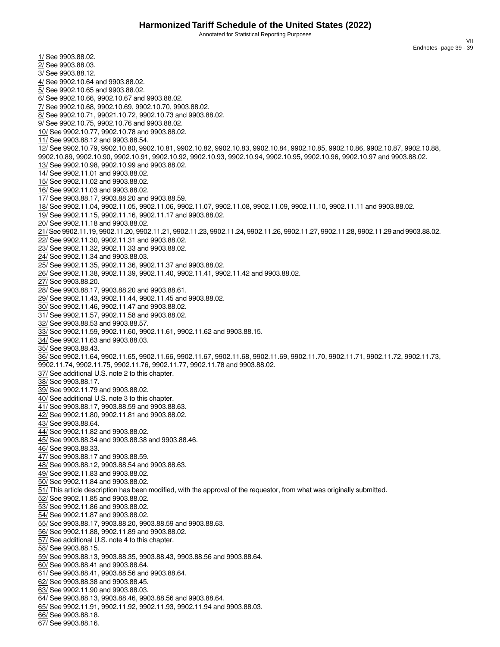Annotated for Statistical Reporting Purposes

VII Endnotes--page 39 - 39

<span id="page-40-36"></span><span id="page-40-35"></span><span id="page-40-34"></span><span id="page-40-33"></span><span id="page-40-32"></span><span id="page-40-31"></span><span id="page-40-30"></span><span id="page-40-29"></span><span id="page-40-28"></span><span id="page-40-27"></span><span id="page-40-26"></span><span id="page-40-25"></span><span id="page-40-24"></span><span id="page-40-23"></span><span id="page-40-22"></span><span id="page-40-21"></span><span id="page-40-20"></span><span id="page-40-19"></span><span id="page-40-18"></span><span id="page-40-17"></span><span id="page-40-16"></span><span id="page-40-15"></span><span id="page-40-14"></span><span id="page-40-13"></span><span id="page-40-12"></span><span id="page-40-11"></span><span id="page-40-10"></span><span id="page-40-9"></span><span id="page-40-8"></span><span id="page-40-7"></span><span id="page-40-6"></span><span id="page-40-5"></span><span id="page-40-4"></span><span id="page-40-3"></span><span id="page-40-2"></span><span id="page-40-1"></span><span id="page-40-0"></span>1/ See 9903.88.02. 2/ See 9903.88.03. 3/ See 9903.88.12. 4/ See 9902.10.64 and 9903.88.02. 5/ See 9902.10.65 and 9903.88.02. 6/ See 9902.10.66, 9902.10.67 and 9903.88.02. 7/ See 9902.10.68, 9902.10.69, 9902.10.70, 9903.88.02. 8/ See 9902.10.71, 99021.10.72, 9902.10.73 and 9903.88.02. 9/ See 9902.10.75, 9902.10.76 and 9903.88.02. 10/ See 9902.10.77, 9902.10.78 and 9903.88.02. 11/ See 9903.88.12 and 9903.88.54. 12/ See 9902.10.79, 9902.10.80, 9902.10.81, 9902.10.82, 9902.10.83, 9902.10.84, 9902.10.85, 9902.10.86, 9902.10.87, 9902.10.88, 9902.10.89, 9902.10.90, 9902.10.91, 9902.10.92, 9902.10.93, 9902.10.94, 9902.10.95, 9902.10.96, 9902.10.97 and 9903.88.02. 13/ See 9902.10.98, 9902.10.99 and 9903.88.02. 14/ See 9902.11.01 and 9903.88.02. 15/ See 9902.11.02 and 9903.88.02. 16/ See 9902.11.03 and 9903.88.02. 17/ See 9903.88.17, 9903.88.20 and 9903.88.59. 18/ See 9902.11.04, 9902.11.05, 9902.11.06, 9902.11.07, 9902.11.08, 9902.11.09, 9902.11.10, 9902.11.11 and 9903.88.02. 19/ See 9902.11.15, 9902.11.16, 9902.11.17 and 9903.88.02. 20/ See 9902.11.18 and 9903.88.02. 21/ See 9902.11.19, 9902.11.20, 9902.11.21, 9902.11.23, 9902.11.24, 9902.11.26, 9902.11.27, 9902.11.28, 9902.11.29 and 9903.88.02. 22/ See 9902.11.30, 9902.11.31 and 9903.88.02. 23/ See 9902.11.32, 9902.11.33 and 9903.88.02. 24/ See 9902.11.34 and 9903.88.03. 25/ See 9902.11.35, 9902.11.36, 9902.11.37 and 9903.88.02. 26/ See 9902.11.38, 9902.11.39, 9902.11.40, 9902.11.41, 9902.11.42 and 9903.88.02. 27/ See 9903.88.20. 28/ See 9903.88.17, 9903.88.20 and 9903.88.61. 29/ See 9902.11.43, 9902.11.44, 9902.11.45 and 9903.88.02. 30/ See 9902.11.46, 9902.11.47 and 9903.88.02. 31/ See 9902.11.57, 9902.11.58 and 9903.88.02. 32/ See 9903.88.53 and 9903.88.57. 33/ See 9902.11.59, 9902.11.60, 9902.11.61, 9902.11.62 and 9903.88.15. 34/ See 9902.11.63 and 9903.88.03. 35/ See 9903.88.43. 36/ See 9902.11.64, 9902.11.65, 9902.11.66, 9902.11.67, 9902.11.68, 9902.11.69, 9902.11.70, 9902.11.71, 9902.11.72, 9902.11.73, 9902.11.74, 9902.11.75, 9902.11.76, 9902.11.77, 9902.11.78 and 9903.88.02. 37/ See additional U.S. note 2 to this chapter. 38/ See 9903.88.17. 39/ See 9902.11.79 and 9903.88.02. 40/ See additional U.S. note 3 to this chapter. 41/ See 9903.88.17, 9903.88.59 and 9903.88.63. 42/ See 9902.11.80, 9902.11.81 and 9903.88.02. 43/ See 9903.88.64. 44/ See 9902.11.82 and 9903.88.02. 45/ See 9903.88.34 and 9903.88.38 and 9903.88.46. 46/ See 9903.88.33. 47/ See 9903.88.17 and 9903.88.59. 48/ See 9903.88.12, 9903.88.54 and 9903.88.63. 49/ See 9902.11.83 and 9903.88.02. 50/ See 9902.11.84 and 9903.88.02. 51/ This article description has been modified, with the approval of the requestor, from what was originally submitted. 52/ See 9902.11.85 and 9903.88.02. 53/ See 9902.11.86 and 9903.88.02. 54/ See 9902.11.87 and 9903.88.02. 55/ See 9903.88.17, 9903.88.20, 9903.88.59 and 9903.88.63. 56/ See 9902.11.88, 9902.11.89 and 9903.88.02. 57/ See additional U.S. note 4 to this chapter. 58/ See 9903.88.15. 59/ See 9903.88.13, 9903.88.35, 9903.88.43, 9903.88.56 and 9903.88.64. 60/ See 9903.88.41 and 9903.88.64. 61/ See 9903.88.41, 9903.88.56 and 9903.88.64. 62/ See 9903.88.38 and 9903.88.45. 63/ See 9902.11.90 and 9903.88.03. 64/ See 9903.88.13, 9903.88.46, 9903.88.56 and 9903.88.64. 65/ See 9902.11.91, 9902.11.92, 9902.11.93, 9902.11.94 and 9903.88.03. 66/ See 9903.88.18.

<span id="page-40-66"></span><span id="page-40-65"></span><span id="page-40-64"></span><span id="page-40-63"></span><span id="page-40-62"></span><span id="page-40-61"></span><span id="page-40-60"></span><span id="page-40-59"></span><span id="page-40-58"></span><span id="page-40-57"></span><span id="page-40-56"></span><span id="page-40-55"></span><span id="page-40-54"></span><span id="page-40-53"></span><span id="page-40-52"></span><span id="page-40-51"></span><span id="page-40-50"></span><span id="page-40-49"></span><span id="page-40-48"></span><span id="page-40-47"></span><span id="page-40-46"></span><span id="page-40-45"></span><span id="page-40-44"></span><span id="page-40-43"></span><span id="page-40-42"></span><span id="page-40-41"></span><span id="page-40-40"></span><span id="page-40-39"></span><span id="page-40-38"></span><span id="page-40-37"></span>67/ See 9903.88.16.